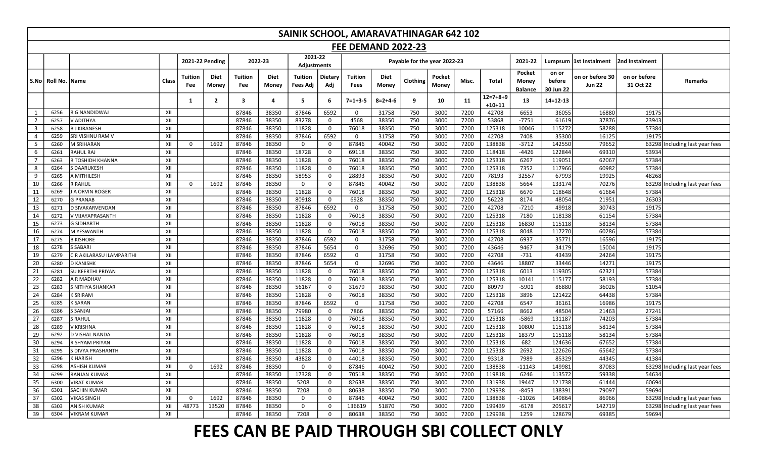| <b>FEE DEMAND 2022-23</b><br>2021-22<br><b>2021-22 Pending</b><br>2022-23<br>Payable for the year 2022-23<br>2021-22<br>Lumpsum  1st Instalment<br>2nd Instalment<br>Adjustments<br>Pocket<br>on or<br><b>Tuition</b><br>Dietary<br>Diet<br>Tuition<br><b>Diet</b><br>Tuition<br>Tuition<br>Diet<br>Pocket<br>on or before 30<br>on or before<br>Class<br>Clothing<br>Misc.<br><b>Total</b><br>S.No   Roll No.   Name<br>before<br>Remarks<br>Money<br>Money<br>Adj<br>Money<br><b>Jun 22</b><br>31 Oct 22<br>Fee<br>Fee<br>Money<br>Fees Adj<br><b>Fees</b><br>Money<br>30 Jun 22<br><b>Balance</b><br>12=7+8+9<br>$\overline{2}$<br>$\overline{\mathbf{3}}$<br>9<br>4<br>5<br>6<br>$7 = 1 + 3 - 5$<br>$8 = 2 + 4 - 6$<br>11<br>$14 = 12 - 13$<br>10<br>13<br>1<br>$+10+11$<br>6653<br>XII<br>87846<br>38350<br>87846<br>6592<br>31758<br>750<br>3000<br>7200<br>42708<br>36055<br>16880<br>19175<br>6256<br><b>R G NANDIDWAJ</b><br>$\Omega$<br>1<br>37876<br>$\overline{2}$<br>83278<br>4568<br>750<br>3000<br>7200<br>53868<br>$-7751$<br>61619<br>23943<br>V ADITHYA<br>XII<br>87846<br>38350<br>$\mathbf 0$<br>38350<br>6257<br>58288<br>$\overline{\mathbf{3}}$<br>38350<br>11828<br>3000<br>7200<br>125318<br>10046<br>115272<br>57384<br>6258<br><b>BJ KIRANESH</b><br>XII<br>87846<br>$\mathbf 0$<br>76018<br>38350<br>750<br>7200<br>42708<br>$\overline{4}$<br>SRI VISHNU RAM V<br>XII<br>87846<br>38350<br>87846<br>6592<br>31758<br>750<br>3000<br>7408<br>35300<br>16125<br>19175<br>6259<br>0<br>$5\phantom{.0}$<br>138838<br>79652<br>M SRIHARAN<br>XII<br>1692<br>87846<br>38350<br>87846<br>40042<br>750<br>3000<br>7200<br>$-3712$<br>142550<br>63298 Including last year fees<br>6260<br>$\Omega$<br>$\mathbf 0$<br>$\overline{0}$<br>6<br>118418<br>69310<br>RAHUL RAJ<br>XII<br>87846<br>38350<br>18728<br>69118<br>38350<br>750<br>3000<br>7200<br>$-4426$<br>122844<br>53934<br>6261<br>$\mathbf 0$<br>$\overline{7}$<br>7200<br>125318<br>57384<br>6263<br>R TOSHIDH KHANNA<br>XII<br>87846<br>38350<br>11828<br>$\mathbf 0$<br>76018<br>38350<br>750<br>3000<br>6267<br>119051<br>62067<br>125318<br>8<br>87846<br>38350<br>11828<br>$\mathbf 0$<br>76018<br>38350<br>750<br>3000<br>7200<br>7352<br>117966<br>60982<br>57384<br>6264<br>S DAARUKESH<br>XII<br>9<br>XII<br>87846<br>38350<br>58953<br>$\mathbf 0$<br>28893<br>38350<br>750<br>3000<br>7200<br>78193<br>32557<br>67993<br>19925<br>48268<br>6265<br>A MITHILESH |  | SAINIK SCHOOL, AMARAVATHINAGAR 642 102 |  |  |  |  |  |  |  |  |  |  |  |  |  |  |  |  |  |
|-----------------------------------------------------------------------------------------------------------------------------------------------------------------------------------------------------------------------------------------------------------------------------------------------------------------------------------------------------------------------------------------------------------------------------------------------------------------------------------------------------------------------------------------------------------------------------------------------------------------------------------------------------------------------------------------------------------------------------------------------------------------------------------------------------------------------------------------------------------------------------------------------------------------------------------------------------------------------------------------------------------------------------------------------------------------------------------------------------------------------------------------------------------------------------------------------------------------------------------------------------------------------------------------------------------------------------------------------------------------------------------------------------------------------------------------------------------------------------------------------------------------------------------------------------------------------------------------------------------------------------------------------------------------------------------------------------------------------------------------------------------------------------------------------------------------------------------------------------------------------------------------------------------------------------------------------------------------------------------------------------------------------------------------------------------------------------------------------------------------------------------------------------------------------------------------------------------------------------------------------------------------------------------------------------------------------------------------------------------------------------------------------------------------------------------------------------------|--|----------------------------------------|--|--|--|--|--|--|--|--|--|--|--|--|--|--|--|--|--|
|                                                                                                                                                                                                                                                                                                                                                                                                                                                                                                                                                                                                                                                                                                                                                                                                                                                                                                                                                                                                                                                                                                                                                                                                                                                                                                                                                                                                                                                                                                                                                                                                                                                                                                                                                                                                                                                                                                                                                                                                                                                                                                                                                                                                                                                                                                                                                                                                                                                           |  |                                        |  |  |  |  |  |  |  |  |  |  |  |  |  |  |  |  |  |
|                                                                                                                                                                                                                                                                                                                                                                                                                                                                                                                                                                                                                                                                                                                                                                                                                                                                                                                                                                                                                                                                                                                                                                                                                                                                                                                                                                                                                                                                                                                                                                                                                                                                                                                                                                                                                                                                                                                                                                                                                                                                                                                                                                                                                                                                                                                                                                                                                                                           |  |                                        |  |  |  |  |  |  |  |  |  |  |  |  |  |  |  |  |  |
|                                                                                                                                                                                                                                                                                                                                                                                                                                                                                                                                                                                                                                                                                                                                                                                                                                                                                                                                                                                                                                                                                                                                                                                                                                                                                                                                                                                                                                                                                                                                                                                                                                                                                                                                                                                                                                                                                                                                                                                                                                                                                                                                                                                                                                                                                                                                                                                                                                                           |  |                                        |  |  |  |  |  |  |  |  |  |  |  |  |  |  |  |  |  |
|                                                                                                                                                                                                                                                                                                                                                                                                                                                                                                                                                                                                                                                                                                                                                                                                                                                                                                                                                                                                                                                                                                                                                                                                                                                                                                                                                                                                                                                                                                                                                                                                                                                                                                                                                                                                                                                                                                                                                                                                                                                                                                                                                                                                                                                                                                                                                                                                                                                           |  |                                        |  |  |  |  |  |  |  |  |  |  |  |  |  |  |  |  |  |
|                                                                                                                                                                                                                                                                                                                                                                                                                                                                                                                                                                                                                                                                                                                                                                                                                                                                                                                                                                                                                                                                                                                                                                                                                                                                                                                                                                                                                                                                                                                                                                                                                                                                                                                                                                                                                                                                                                                                                                                                                                                                                                                                                                                                                                                                                                                                                                                                                                                           |  |                                        |  |  |  |  |  |  |  |  |  |  |  |  |  |  |  |  |  |
|                                                                                                                                                                                                                                                                                                                                                                                                                                                                                                                                                                                                                                                                                                                                                                                                                                                                                                                                                                                                                                                                                                                                                                                                                                                                                                                                                                                                                                                                                                                                                                                                                                                                                                                                                                                                                                                                                                                                                                                                                                                                                                                                                                                                                                                                                                                                                                                                                                                           |  |                                        |  |  |  |  |  |  |  |  |  |  |  |  |  |  |  |  |  |
|                                                                                                                                                                                                                                                                                                                                                                                                                                                                                                                                                                                                                                                                                                                                                                                                                                                                                                                                                                                                                                                                                                                                                                                                                                                                                                                                                                                                                                                                                                                                                                                                                                                                                                                                                                                                                                                                                                                                                                                                                                                                                                                                                                                                                                                                                                                                                                                                                                                           |  |                                        |  |  |  |  |  |  |  |  |  |  |  |  |  |  |  |  |  |
|                                                                                                                                                                                                                                                                                                                                                                                                                                                                                                                                                                                                                                                                                                                                                                                                                                                                                                                                                                                                                                                                                                                                                                                                                                                                                                                                                                                                                                                                                                                                                                                                                                                                                                                                                                                                                                                                                                                                                                                                                                                                                                                                                                                                                                                                                                                                                                                                                                                           |  |                                        |  |  |  |  |  |  |  |  |  |  |  |  |  |  |  |  |  |
|                                                                                                                                                                                                                                                                                                                                                                                                                                                                                                                                                                                                                                                                                                                                                                                                                                                                                                                                                                                                                                                                                                                                                                                                                                                                                                                                                                                                                                                                                                                                                                                                                                                                                                                                                                                                                                                                                                                                                                                                                                                                                                                                                                                                                                                                                                                                                                                                                                                           |  |                                        |  |  |  |  |  |  |  |  |  |  |  |  |  |  |  |  |  |
|                                                                                                                                                                                                                                                                                                                                                                                                                                                                                                                                                                                                                                                                                                                                                                                                                                                                                                                                                                                                                                                                                                                                                                                                                                                                                                                                                                                                                                                                                                                                                                                                                                                                                                                                                                                                                                                                                                                                                                                                                                                                                                                                                                                                                                                                                                                                                                                                                                                           |  |                                        |  |  |  |  |  |  |  |  |  |  |  |  |  |  |  |  |  |
|                                                                                                                                                                                                                                                                                                                                                                                                                                                                                                                                                                                                                                                                                                                                                                                                                                                                                                                                                                                                                                                                                                                                                                                                                                                                                                                                                                                                                                                                                                                                                                                                                                                                                                                                                                                                                                                                                                                                                                                                                                                                                                                                                                                                                                                                                                                                                                                                                                                           |  |                                        |  |  |  |  |  |  |  |  |  |  |  |  |  |  |  |  |  |
|                                                                                                                                                                                                                                                                                                                                                                                                                                                                                                                                                                                                                                                                                                                                                                                                                                                                                                                                                                                                                                                                                                                                                                                                                                                                                                                                                                                                                                                                                                                                                                                                                                                                                                                                                                                                                                                                                                                                                                                                                                                                                                                                                                                                                                                                                                                                                                                                                                                           |  |                                        |  |  |  |  |  |  |  |  |  |  |  |  |  |  |  |  |  |
|                                                                                                                                                                                                                                                                                                                                                                                                                                                                                                                                                                                                                                                                                                                                                                                                                                                                                                                                                                                                                                                                                                                                                                                                                                                                                                                                                                                                                                                                                                                                                                                                                                                                                                                                                                                                                                                                                                                                                                                                                                                                                                                                                                                                                                                                                                                                                                                                                                                           |  |                                        |  |  |  |  |  |  |  |  |  |  |  |  |  |  |  |  |  |
| 10<br>1692<br>87846<br>38350<br>87846<br>750<br>3000<br>7200<br>138838<br>5664<br>133174<br>70276<br>63298<br>6266<br>R RAHUL<br>XII<br>$\mathbf 0$<br>$\mathbf 0$<br>40042<br>Including last year fees<br>$\Omega$                                                                                                                                                                                                                                                                                                                                                                                                                                                                                                                                                                                                                                                                                                                                                                                                                                                                                                                                                                                                                                                                                                                                                                                                                                                                                                                                                                                                                                                                                                                                                                                                                                                                                                                                                                                                                                                                                                                                                                                                                                                                                                                                                                                                                                       |  |                                        |  |  |  |  |  |  |  |  |  |  |  |  |  |  |  |  |  |
| 11<br>XII<br>11828<br>750<br>3000<br>7200<br>125318<br>6670<br>61664<br>57384<br>6269<br><b>A ORVIN ROGER</b><br>87846<br>38350<br>0<br>76018<br>38350<br>118648                                                                                                                                                                                                                                                                                                                                                                                                                                                                                                                                                                                                                                                                                                                                                                                                                                                                                                                                                                                                                                                                                                                                                                                                                                                                                                                                                                                                                                                                                                                                                                                                                                                                                                                                                                                                                                                                                                                                                                                                                                                                                                                                                                                                                                                                                          |  |                                        |  |  |  |  |  |  |  |  |  |  |  |  |  |  |  |  |  |
| XII<br>7200<br>56228<br>8174<br>21951<br>12<br><b>G PRANAB</b><br>87846<br>80918<br>$\mathsf{O}$<br>6928<br>38350<br>750<br>3000<br>48054<br>26303<br>6270<br>38350                                                                                                                                                                                                                                                                                                                                                                                                                                                                                                                                                                                                                                                                                                                                                                                                                                                                                                                                                                                                                                                                                                                                                                                                                                                                                                                                                                                                                                                                                                                                                                                                                                                                                                                                                                                                                                                                                                                                                                                                                                                                                                                                                                                                                                                                                       |  |                                        |  |  |  |  |  |  |  |  |  |  |  |  |  |  |  |  |  |
| 6592<br>42708<br>13<br>XII<br>87846<br>38350<br>87846<br>750<br>3000<br>7200<br>$-7210$<br>49918<br>30743<br>19175<br>6271<br><b>D SIVAKARVENDAN</b><br>$\mathbf 0$<br>31758                                                                                                                                                                                                                                                                                                                                                                                                                                                                                                                                                                                                                                                                                                                                                                                                                                                                                                                                                                                                                                                                                                                                                                                                                                                                                                                                                                                                                                                                                                                                                                                                                                                                                                                                                                                                                                                                                                                                                                                                                                                                                                                                                                                                                                                                              |  |                                        |  |  |  |  |  |  |  |  |  |  |  |  |  |  |  |  |  |
| 7200<br>125318<br>7180<br>57384<br>XII<br>87846<br>11828<br>76018<br>38350<br>750<br>3000<br>118138<br>61154<br>14<br>6272<br>V VIJAYAPRASANTH<br>38350<br>$\mathbf 0$                                                                                                                                                                                                                                                                                                                                                                                                                                                                                                                                                                                                                                                                                                                                                                                                                                                                                                                                                                                                                                                                                                                                                                                                                                                                                                                                                                                                                                                                                                                                                                                                                                                                                                                                                                                                                                                                                                                                                                                                                                                                                                                                                                                                                                                                                    |  |                                        |  |  |  |  |  |  |  |  |  |  |  |  |  |  |  |  |  |
| 15<br>3000<br>7200<br>125318<br>16830<br>58134<br>57384<br>XII<br>87846<br>38350<br>11828<br>$\mathbf 0$<br>76018<br>38350<br>750<br>115118<br>6273<br><b>G SIDHARTH</b>                                                                                                                                                                                                                                                                                                                                                                                                                                                                                                                                                                                                                                                                                                                                                                                                                                                                                                                                                                                                                                                                                                                                                                                                                                                                                                                                                                                                                                                                                                                                                                                                                                                                                                                                                                                                                                                                                                                                                                                                                                                                                                                                                                                                                                                                                  |  |                                        |  |  |  |  |  |  |  |  |  |  |  |  |  |  |  |  |  |
| 7200<br>125318<br>60286<br>57384<br>87846<br>38350<br>11828<br>$\mathbf 0$<br>76018<br>38350<br>750<br>3000<br>8048<br>117270<br>16<br>6274<br>M YESWANTH<br>XII                                                                                                                                                                                                                                                                                                                                                                                                                                                                                                                                                                                                                                                                                                                                                                                                                                                                                                                                                                                                                                                                                                                                                                                                                                                                                                                                                                                                                                                                                                                                                                                                                                                                                                                                                                                                                                                                                                                                                                                                                                                                                                                                                                                                                                                                                          |  |                                        |  |  |  |  |  |  |  |  |  |  |  |  |  |  |  |  |  |
| 6592<br>7200<br>17<br>6275<br><b>B KISHORE</b><br>XII<br>87846<br>38350<br>87846<br>31758<br>750<br>3000<br>42708<br>6937<br>35771<br>16596<br>19175<br>$\mathbf 0$                                                                                                                                                                                                                                                                                                                                                                                                                                                                                                                                                                                                                                                                                                                                                                                                                                                                                                                                                                                                                                                                                                                                                                                                                                                                                                                                                                                                                                                                                                                                                                                                                                                                                                                                                                                                                                                                                                                                                                                                                                                                                                                                                                                                                                                                                       |  |                                        |  |  |  |  |  |  |  |  |  |  |  |  |  |  |  |  |  |
| XII<br>87846<br>87846<br>5654<br>32696<br>3000<br>7200<br>43646<br>15004<br>19175<br>18<br>6278<br><b>S SABARI</b><br>38350<br>$\mathbf 0$<br>750<br>9467<br>34179                                                                                                                                                                                                                                                                                                                                                                                                                                                                                                                                                                                                                                                                                                                                                                                                                                                                                                                                                                                                                                                                                                                                                                                                                                                                                                                                                                                                                                                                                                                                                                                                                                                                                                                                                                                                                                                                                                                                                                                                                                                                                                                                                                                                                                                                                        |  |                                        |  |  |  |  |  |  |  |  |  |  |  |  |  |  |  |  |  |
| C R AKILARASU ILAMPARITHI<br>XII<br>87846<br>6592<br>$\mathbf 0$<br>3000<br>7200<br>42708<br>$-731$<br>43439<br>24264<br>19175<br>19<br>6279<br>87846<br>38350<br>31758<br>750                                                                                                                                                                                                                                                                                                                                                                                                                                                                                                                                                                                                                                                                                                                                                                                                                                                                                                                                                                                                                                                                                                                                                                                                                                                                                                                                                                                                                                                                                                                                                                                                                                                                                                                                                                                                                                                                                                                                                                                                                                                                                                                                                                                                                                                                            |  |                                        |  |  |  |  |  |  |  |  |  |  |  |  |  |  |  |  |  |
| XII<br>18807<br>14271<br>20<br>6280<br><b>D KANISHK</b><br>87846<br>38350<br>87846<br>5654<br>$\Omega$<br>32696<br>750<br>3000<br>7200<br>43646<br>33446<br>19175                                                                                                                                                                                                                                                                                                                                                                                                                                                                                                                                                                                                                                                                                                                                                                                                                                                                                                                                                                                                                                                                                                                                                                                                                                                                                                                                                                                                                                                                                                                                                                                                                                                                                                                                                                                                                                                                                                                                                                                                                                                                                                                                                                                                                                                                                         |  |                                        |  |  |  |  |  |  |  |  |  |  |  |  |  |  |  |  |  |
| 76018<br>125318<br>62321<br>57384<br>21<br>87846<br>38350<br>11828<br>750<br>3000<br>7200<br>6013<br>119305<br><b>SU KEERTHI PRIYAN</b><br>XII<br>$\mathbf 0$<br>38350<br>6281                                                                                                                                                                                                                                                                                                                                                                                                                                                                                                                                                                                                                                                                                                                                                                                                                                                                                                                                                                                                                                                                                                                                                                                                                                                                                                                                                                                                                                                                                                                                                                                                                                                                                                                                                                                                                                                                                                                                                                                                                                                                                                                                                                                                                                                                            |  |                                        |  |  |  |  |  |  |  |  |  |  |  |  |  |  |  |  |  |
| 3000<br>7200<br>125318<br>58193<br>57384<br>22<br>87846<br>38350<br>11828<br>76018<br>38350<br>750<br>10141<br>115177<br>6282<br>A R MADHAV<br>XII<br>$\mathbf 0$                                                                                                                                                                                                                                                                                                                                                                                                                                                                                                                                                                                                                                                                                                                                                                                                                                                                                                                                                                                                                                                                                                                                                                                                                                                                                                                                                                                                                                                                                                                                                                                                                                                                                                                                                                                                                                                                                                                                                                                                                                                                                                                                                                                                                                                                                         |  |                                        |  |  |  |  |  |  |  |  |  |  |  |  |  |  |  |  |  |
| 7200<br>80979<br>86880<br>36026<br>23<br>6283<br><b>S NITHYA SHANKAR</b><br>XII<br>87846<br>38350<br>56167<br>$\mathbf 0$<br>31679<br>38350<br>750<br>3000<br>$-5901$<br>51054                                                                                                                                                                                                                                                                                                                                                                                                                                                                                                                                                                                                                                                                                                                                                                                                                                                                                                                                                                                                                                                                                                                                                                                                                                                                                                                                                                                                                                                                                                                                                                                                                                                                                                                                                                                                                                                                                                                                                                                                                                                                                                                                                                                                                                                                            |  |                                        |  |  |  |  |  |  |  |  |  |  |  |  |  |  |  |  |  |
| 24<br>6284<br>K SRIRAM<br>XII<br>87846<br>38350<br>11828<br>$\mathbf 0$<br>76018<br>38350<br>750<br>3000<br>7200<br>125318<br>3896<br>121422<br>64438<br>57384                                                                                                                                                                                                                                                                                                                                                                                                                                                                                                                                                                                                                                                                                                                                                                                                                                                                                                                                                                                                                                                                                                                                                                                                                                                                                                                                                                                                                                                                                                                                                                                                                                                                                                                                                                                                                                                                                                                                                                                                                                                                                                                                                                                                                                                                                            |  |                                        |  |  |  |  |  |  |  |  |  |  |  |  |  |  |  |  |  |
| 25<br>6285<br><b>K SARAN</b><br>XII<br>87846<br>38350<br>87846<br>6592<br>31758<br>750<br>3000<br>7200<br>42708<br>6547<br>36161<br>16986<br>19175<br>$\mathbf 0$                                                                                                                                                                                                                                                                                                                                                                                                                                                                                                                                                                                                                                                                                                                                                                                                                                                                                                                                                                                                                                                                                                                                                                                                                                                                                                                                                                                                                                                                                                                                                                                                                                                                                                                                                                                                                                                                                                                                                                                                                                                                                                                                                                                                                                                                                         |  |                                        |  |  |  |  |  |  |  |  |  |  |  |  |  |  |  |  |  |
| 26<br><b>S SANJAI</b><br>38350<br>79980<br>7866<br>38350<br>3000<br>7200<br>57166<br>8662<br>21463<br>27241<br>6286<br>XII<br>87846<br>$\mathbf 0$<br>750<br>48504                                                                                                                                                                                                                                                                                                                                                                                                                                                                                                                                                                                                                                                                                                                                                                                                                                                                                                                                                                                                                                                                                                                                                                                                                                                                                                                                                                                                                                                                                                                                                                                                                                                                                                                                                                                                                                                                                                                                                                                                                                                                                                                                                                                                                                                                                        |  |                                        |  |  |  |  |  |  |  |  |  |  |  |  |  |  |  |  |  |
| 27<br>3000<br>7200<br>125318<br>$-5869$<br>74203<br>57384<br>6287<br>87846<br>38350<br>11828<br>$\mathbf 0$<br>76018<br>38350<br>750<br>131187<br><b>S RAHUL</b><br>XII                                                                                                                                                                                                                                                                                                                                                                                                                                                                                                                                                                                                                                                                                                                                                                                                                                                                                                                                                                                                                                                                                                                                                                                                                                                                                                                                                                                                                                                                                                                                                                                                                                                                                                                                                                                                                                                                                                                                                                                                                                                                                                                                                                                                                                                                                   |  |                                        |  |  |  |  |  |  |  |  |  |  |  |  |  |  |  |  |  |
| 28<br>XII<br>87846<br>38350<br>11828<br>$\mathbf 0$<br>76018<br>38350<br>750<br>3000<br>7200<br>125318<br>10800<br>115118<br>58134<br>57384<br>6289<br>V KRISHNA                                                                                                                                                                                                                                                                                                                                                                                                                                                                                                                                                                                                                                                                                                                                                                                                                                                                                                                                                                                                                                                                                                                                                                                                                                                                                                                                                                                                                                                                                                                                                                                                                                                                                                                                                                                                                                                                                                                                                                                                                                                                                                                                                                                                                                                                                          |  |                                        |  |  |  |  |  |  |  |  |  |  |  |  |  |  |  |  |  |
| 3000<br>7200<br>125318<br>58134<br>57384<br>29<br>6292<br>XII<br>87846<br>38350<br>11828<br>$\mathbf 0$<br>76018<br>38350<br>750<br>18379<br>115118<br><b>D VISHAL NANDA</b>                                                                                                                                                                                                                                                                                                                                                                                                                                                                                                                                                                                                                                                                                                                                                                                                                                                                                                                                                                                                                                                                                                                                                                                                                                                                                                                                                                                                                                                                                                                                                                                                                                                                                                                                                                                                                                                                                                                                                                                                                                                                                                                                                                                                                                                                              |  |                                        |  |  |  |  |  |  |  |  |  |  |  |  |  |  |  |  |  |
| 57384<br>30<br>XII<br>87846<br>38350<br>11828<br>76018<br>38350<br>750<br>3000<br>7200<br>125318<br>682<br>124636<br>67652<br>6294<br>R SHYAM PRIYAN<br>0                                                                                                                                                                                                                                                                                                                                                                                                                                                                                                                                                                                                                                                                                                                                                                                                                                                                                                                                                                                                                                                                                                                                                                                                                                                                                                                                                                                                                                                                                                                                                                                                                                                                                                                                                                                                                                                                                                                                                                                                                                                                                                                                                                                                                                                                                                 |  |                                        |  |  |  |  |  |  |  |  |  |  |  |  |  |  |  |  |  |
| 3000<br>7200<br>125318<br>2692<br>65642<br>57384<br>31<br>6295<br>XII<br>87846<br>38350<br>11828<br>76018<br>38350<br>750<br>122626<br>S DIVYA PRASHANTH<br>$\mathbf 0$                                                                                                                                                                                                                                                                                                                                                                                                                                                                                                                                                                                                                                                                                                                                                                                                                                                                                                                                                                                                                                                                                                                                                                                                                                                                                                                                                                                                                                                                                                                                                                                                                                                                                                                                                                                                                                                                                                                                                                                                                                                                                                                                                                                                                                                                                   |  |                                        |  |  |  |  |  |  |  |  |  |  |  |  |  |  |  |  |  |
| 7989<br>32<br>XII<br>87846<br>38350<br>43828<br>38350<br>750<br>3000<br>7200<br>93318<br>85329<br>44345<br>41384<br>6296<br><b>K HARISH</b><br>0<br>44018                                                                                                                                                                                                                                                                                                                                                                                                                                                                                                                                                                                                                                                                                                                                                                                                                                                                                                                                                                                                                                                                                                                                                                                                                                                                                                                                                                                                                                                                                                                                                                                                                                                                                                                                                                                                                                                                                                                                                                                                                                                                                                                                                                                                                                                                                                 |  |                                        |  |  |  |  |  |  |  |  |  |  |  |  |  |  |  |  |  |
| 7200<br>138838<br>33<br>87846<br>87846<br>3000<br>149981<br>87083<br>63298 Including last year fees<br>XII<br>1692<br>38350<br>0<br>0<br>40042<br>750<br>$-11143$<br>6298<br><b>ASHISH KUMAR</b><br>$\Omega$                                                                                                                                                                                                                                                                                                                                                                                                                                                                                                                                                                                                                                                                                                                                                                                                                                                                                                                                                                                                                                                                                                                                                                                                                                                                                                                                                                                                                                                                                                                                                                                                                                                                                                                                                                                                                                                                                                                                                                                                                                                                                                                                                                                                                                              |  |                                        |  |  |  |  |  |  |  |  |  |  |  |  |  |  |  |  |  |
| 59338<br>34<br>87846<br>17328<br>38350<br>750<br>3000<br>7200<br>119818<br>6246<br>54634<br>XII<br>38350<br>$\mathbf 0$<br>70518<br>113572<br>6299<br><b>RANJAN KUMAR</b>                                                                                                                                                                                                                                                                                                                                                                                                                                                                                                                                                                                                                                                                                                                                                                                                                                                                                                                                                                                                                                                                                                                                                                                                                                                                                                                                                                                                                                                                                                                                                                                                                                                                                                                                                                                                                                                                                                                                                                                                                                                                                                                                                                                                                                                                                 |  |                                        |  |  |  |  |  |  |  |  |  |  |  |  |  |  |  |  |  |
| 7200<br>35<br>87846<br>38350<br>5208<br>$\mathbf 0$<br>82638<br>38350<br>750<br>3000<br>131938<br>19447<br>121738<br>61444<br>60694<br>6300<br><b>VIRAT KUMAR</b><br>XII                                                                                                                                                                                                                                                                                                                                                                                                                                                                                                                                                                                                                                                                                                                                                                                                                                                                                                                                                                                                                                                                                                                                                                                                                                                                                                                                                                                                                                                                                                                                                                                                                                                                                                                                                                                                                                                                                                                                                                                                                                                                                                                                                                                                                                                                                  |  |                                        |  |  |  |  |  |  |  |  |  |  |  |  |  |  |  |  |  |
| 129938<br>59694<br>36<br>6301<br><b>SACHIN KUMAR</b><br>XII<br>87846<br>38350<br>7208<br>$\mathbf 0$<br>80638<br>38350<br>750<br>3000<br>7200<br>$-8453$<br>138391<br>79097                                                                                                                                                                                                                                                                                                                                                                                                                                                                                                                                                                                                                                                                                                                                                                                                                                                                                                                                                                                                                                                                                                                                                                                                                                                                                                                                                                                                                                                                                                                                                                                                                                                                                                                                                                                                                                                                                                                                                                                                                                                                                                                                                                                                                                                                               |  |                                        |  |  |  |  |  |  |  |  |  |  |  |  |  |  |  |  |  |
| 37<br>XII<br>87846<br>38350<br>$\mathbf 0$<br>87846<br>750<br>3000<br>7200<br>138838<br>$-11026$<br>149864<br>86966<br>63298<br>6302<br><b>VIKAS SINGH</b><br>$\Omega$<br>1692<br>$\mathbf 0$<br>40042<br>Including last year fees                                                                                                                                                                                                                                                                                                                                                                                                                                                                                                                                                                                                                                                                                                                                                                                                                                                                                                                                                                                                                                                                                                                                                                                                                                                                                                                                                                                                                                                                                                                                                                                                                                                                                                                                                                                                                                                                                                                                                                                                                                                                                                                                                                                                                        |  |                                        |  |  |  |  |  |  |  |  |  |  |  |  |  |  |  |  |  |
| 48773<br>13520<br>87846<br>38350<br>$\mathbf 0$<br>750<br>7200<br>199439<br>$-6178$<br>142719<br>38<br>6303<br><b>ANISH KUMAR</b><br>XII<br>$\mathbf 0$<br>136619<br>51870<br>3000<br>205617<br>63298<br>Including last year fees                                                                                                                                                                                                                                                                                                                                                                                                                                                                                                                                                                                                                                                                                                                                                                                                                                                                                                                                                                                                                                                                                                                                                                                                                                                                                                                                                                                                                                                                                                                                                                                                                                                                                                                                                                                                                                                                                                                                                                                                                                                                                                                                                                                                                         |  |                                        |  |  |  |  |  |  |  |  |  |  |  |  |  |  |  |  |  |
| 39<br>XII<br>7208<br>$\mathbf 0$<br>750<br>129938<br>69385<br>59694<br>6304<br><b>VIKRAM KUMAR</b><br>87846<br>38350<br>80638<br>38350<br>3000<br>7200<br>1259<br>128679                                                                                                                                                                                                                                                                                                                                                                                                                                                                                                                                                                                                                                                                                                                                                                                                                                                                                                                                                                                                                                                                                                                                                                                                                                                                                                                                                                                                                                                                                                                                                                                                                                                                                                                                                                                                                                                                                                                                                                                                                                                                                                                                                                                                                                                                                  |  |                                        |  |  |  |  |  |  |  |  |  |  |  |  |  |  |  |  |  |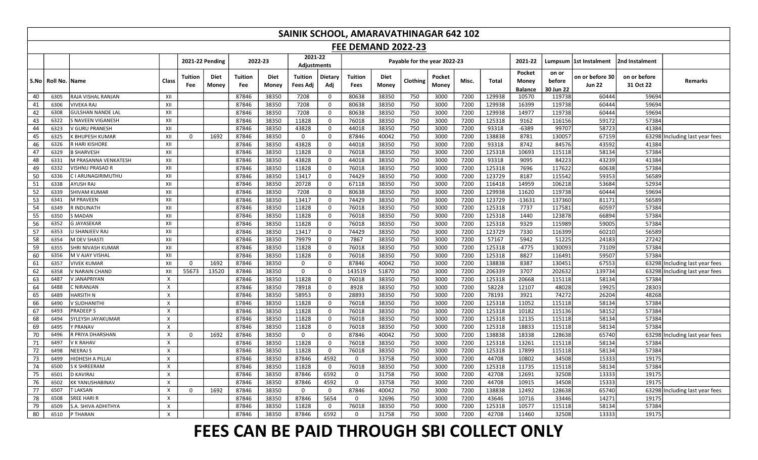|                 |                 |                          |                           |                |                      |                       |               | SAINIK SCHOOL, AMARAVATHINAGAR 642 102 |                |                           |               |                              |                 |       |        |                                   |                              |                                  |                           |                                |
|-----------------|-----------------|--------------------------|---------------------------|----------------|----------------------|-----------------------|---------------|----------------------------------------|----------------|---------------------------|---------------|------------------------------|-----------------|-------|--------|-----------------------------------|------------------------------|----------------------------------|---------------------------|--------------------------------|
|                 |                 |                          |                           |                |                      |                       |               |                                        |                | <b>FEE DEMAND 2022-23</b> |               |                              |                 |       |        |                                   |                              |                                  |                           |                                |
|                 |                 |                          |                           |                | 2021-22 Pending      |                       | 2022-23       | 2021-22<br><b>Adjustments</b>          |                |                           |               | Payable for the year 2022-23 |                 |       |        | 2021-22                           |                              | Lumpsum  1st Instalment          | 2nd Instalment            |                                |
|                 | S.No   Roll No. | <b>IName</b>             | Class                     | Tuition<br>Fee | <b>Diet</b><br>Money | <b>Tuition</b><br>Fee | Diet<br>Money | <b>Tuition</b><br>Fees Adj             | Dietary<br>Adj | Tuition<br>Fees           | Diet<br>Money | Clothing                     | Pocket<br>Money | Misc. | Total  | Pocket<br>Money<br><b>Balance</b> | on or<br>before<br>30 Jun 22 | on or before 30<br><b>Jun 22</b> | on or before<br>31 Oct 22 | Remarks                        |
| 40              | 6305            | RAJA VISHAL RANJAN       | XII                       |                |                      | 87846                 | 38350         | 7208                                   | $\mathbf 0$    | 80638                     | 38350         | 750                          | 3000            | 7200  | 129938 | 10570                             | 119738                       | 60444                            | 59694                     |                                |
| 41              | 6306            | <b>VIVEKA RAJ</b>        | XII                       |                |                      | 87846                 | 38350         | 7208                                   | $\mathbf 0$    | 80638                     | 38350         | 750                          | 3000            | 7200  | 129938 | 16399                             | 119738                       | 60444                            | 59694                     |                                |
| 42              | 6308            | <b>GULSHAN NANDE LAL</b> | XII                       |                |                      | 87846                 | 38350         | 7208                                   | $\mathbf 0$    | 80638                     | 38350         | 750                          | 3000            | 7200  | 129938 | 14977                             | 119738                       | 60444                            | 59694                     |                                |
| 43              | 6322            | S NAVEEN VIGANESH        | XII                       |                |                      | 87846                 | 38350         | 11828                                  | $\mathbf 0$    | 76018                     | 38350         | 750                          | 3000            | 7200  | 125318 | 9162                              | 116156                       | 59172                            | 57384                     |                                |
| 44              | 6323            | V GURU PRANESH           | XII                       |                |                      | 87846                 | 38350         | 43828                                  | $\mathbf 0$    | 44018                     | 38350         | 750                          | 3000            | 7200  | 93318  | $-6389$                           | 99707                        | 58723                            | 41384                     |                                |
| 45              | 6325            | K BHUPESH KUMAR          | XII                       | $\mathbf 0$    | 1692                 | 87846                 | 38350         | $\mathbf 0$                            | $\mathbf 0$    | 87846                     | 40042         | 750                          | 3000            | 7200  | 138838 | 8781                              | 130057                       | 67159                            | 63298                     | Including last year fees       |
| 46              | 6326            | R HARI KISHORE           | XII                       |                |                      | 87846                 | 38350         | 43828                                  | $\mathbf 0$    | 44018                     | 38350         | 750                          | 3000            | 7200  | 93318  | 8742                              | 84576                        | 43592                            | 41384                     |                                |
| 47              | 6329            | <b>B SHARVESH</b>        | XII                       |                |                      | 87846                 | 38350         | 11828                                  | $\mathsf{O}$   | 76018                     | 38350         | 750                          | 3000            | 7200  | 125318 | 10693                             | 115118                       | 58134                            | 57384                     |                                |
| 48              | 6331            | M PRASANNA VENKATESH     | XII                       |                |                      | 87846                 | 38350         | 43828                                  | $\mathbf 0$    | 44018                     | 38350         | 750                          | 3000            | 7200  | 93318  | 9095                              | 84223                        | 43239                            | 41384                     |                                |
| 49              | 6332            | VISHNU PRASAD R          | XII                       |                |                      | 87846                 | 38350         | 11828                                  | $\mathbf 0$    | 76018                     | 38350         | 750                          | 3000            | 7200  | 125318 | 7696                              | 117622                       | 60638                            | 57384                     |                                |
| 50              | 6336            | C I ARUNAGIRIMUTHU       | XII                       |                |                      | 87846                 | 38350         | 13417                                  | $\mathbf 0$    | 74429                     | 38350         | 750                          | 3000            | 7200  | 123729 | 8187                              | 115542                       | 59353                            | 56589                     |                                |
| 51              | 6338            | <b>AYUSH RAJ</b>         | XII                       |                |                      | 87846                 | 38350         | 20728                                  | $\mathbf 0$    | 67118                     | 38350         | 750                          | 3000            | 7200  | 116418 | 14959                             | 106218                       | 53684                            | 52934                     |                                |
| 52              | 6339            | <b>SHIVAM KUMAR</b>      | XII                       |                |                      | 87846                 | 38350         | 7208                                   | $\mathbf 0$    | 80638                     | 38350         | 750                          | 3000            | 7200  | 129938 | 11620                             | 119738                       | 60444                            | 59694                     |                                |
| $\overline{53}$ | 6341            | M PRAVEEN                | XII                       |                |                      | 87846                 | 38350         | 13417                                  | $\mathbf 0$    | 74429                     | 38350         | 750                          | 3000            | 7200  | 123729 | $-13631$                          | 137360                       | 81171                            | 56589                     |                                |
| 54              | 6349            | R INDUNATH               | XII                       |                |                      | 87846                 | 38350         | 11828                                  | $\mathbf 0$    | 76018                     | 38350         | 750                          | 3000            | 7200  | 125318 | 7737                              | 117581                       | 60597                            | 57384                     |                                |
| 55              | 6350            | <b>S MADAN</b>           | XII                       |                |                      | 87846                 | 38350         | 11828                                  | $\overline{0}$ | 76018                     | 38350         | 750                          | 3000            | 7200  | 125318 | 1440                              | 123878                       | 66894                            | 57384                     |                                |
| 56              | 6352            | <b>G JAYASEKAR</b>       | XII                       |                |                      | 87846                 | 38350         | 11828                                  | $\mathbf 0$    | 76018                     | 38350         | 750                          | 3000            | 7200  | 125318 | 9329                              | 115989                       | 59005                            | 57384                     |                                |
| 57              | 6353            | U SHANJEEV RAJ           | XII                       |                |                      | 87846                 | 38350         | 13417                                  | $\mathsf{o}$   | 74429                     | 38350         | 750                          | 3000            | 7200  | 123729 | 7330                              | 116399                       | 60210                            | 56589                     |                                |
| 58              | 6354            | M DEV SHASTI             | XII                       |                |                      | 87846                 | 38350         | 79979                                  | $\mathsf{O}$   | 7867                      | 38350         | 750                          | 3000            | 7200  | 57167  | 5942                              | 51225                        | 24183                            | 27242                     |                                |
| 59              | 6355            | <b>SHRI NIVASH KUMAR</b> | XII                       |                |                      | 87846                 | 38350         | 11828                                  | $\mathsf{o}$   | 76018                     | 38350         | 750                          | 3000            | 7200  | 125318 | $-4775$                           | 130093                       | 73109                            | 57384                     |                                |
| 60              | 6356            | M V AJAY VISHAL          | XII                       |                |                      | 87846                 | 38350         | 11828                                  | $\mathsf{O}$   | 76018                     | 38350         | 750                          | 3000            | 7200  | 125318 | 8827                              | 116491                       | 59507                            | 57384                     |                                |
| 61              | 6357            | <b>VIVEK KUMAR</b>       | XII                       | $\mathbf 0$    | 1692                 | 87846                 | 38350         | $\mathbf 0$                            | $\mathbf 0$    | 87846                     | 40042         | 750                          | 3000            | 7200  | 138838 | 8387                              | 130451                       | 67553                            |                           | 63298 Including last year fees |
| 62              | 6358            | V NARAIN CHAND           | XII                       | 55673          | 13520                | 87846                 | 38350         | $\mathbf 0$                            | $\mathbf 0$    | 143519                    | 51870         | 750                          | 3000            | 7200  | 206339 | 3707                              | 202632                       | 139734                           | 63298                     | ncluding last year fees        |
| 63              | 6487            | V JANAPRIYAN             | $\boldsymbol{\mathsf{x}}$ |                |                      | 87846                 | 38350         | 11828                                  | $\mathbf 0$    | 76018                     | 38350         | 750                          | 3000            | 7200  | 125318 | 20668                             | 115118                       | 58134                            | 57384                     |                                |
| 64              | 6488            | C NIRANJAN               | $\mathsf{x}$              |                |                      | 87846                 | 38350         | 78918                                  | $\mathbf 0$    | 8928                      | 38350         | 750                          | 3000            | 7200  | 58228  | 12107                             | 48028                        | 19925                            | 28303                     |                                |
| 65              | 6489            | <b>HARSITH N</b>         | $\times$                  |                |                      | 87846                 | 38350         | 58953                                  | $\mathbf 0$    | 28893                     | 38350         | 750                          | 3000            | 7200  | 78193  | 3921                              | 74272                        | 26204                            | 48268                     |                                |
| 66              | 6490            | V SUDHANITHI             | $\times$                  |                |                      | 87846                 | 38350         | 11828                                  | $\mathbf 0$    | 76018                     | 38350         | 750                          | 3000            | 7200  | 125318 | 11052                             | 115118                       | 58134                            | 57384                     |                                |
| 67              | 6493            | <b>PRADEEPS</b>          | $\boldsymbol{\mathsf{x}}$ |                |                      | 87846                 | 38350         | 11828                                  | $\mathbf 0$    | 76018                     | 38350         | 750                          | 3000            | 7200  | 125318 | 10182                             | 115136                       | 58152                            | 57384                     |                                |
| 68              | 6494            | SYLEYSH JAYAKUMAR        | $\times$                  |                |                      | 87846                 | 38350         | 11828                                  | $\mathbf 0$    | 76018                     | 38350         | 750                          | 3000            | 7200  | 125318 | 12135                             | 115118                       | 58134                            | 57384                     |                                |
| 69              | 6495            | Y PRANAV                 | $\boldsymbol{\mathsf{X}}$ |                |                      | 87846                 | 38350         | 11828                                  | $\mathbf 0$    | 76018                     | 38350         | 750                          | 3000            | 7200  | 125318 | 18833                             | 115118                       | 58134                            | 57384                     |                                |
| 70              | 6496            | R PRIYA DHARSHAN         | $\boldsymbol{\mathsf{x}}$ | $\Omega$       | 1692                 | 87846                 | 38350         | 0                                      | $\mathbf 0$    | 87846                     | 40042         | 750                          | 3000            | 7200  | 138838 | 18338                             | 128638                       | 65740                            | 63298                     | Including last year fees       |
| 71              | 6497            | V K RAHAV                | $\times$                  |                |                      | 87846                 | 38350         | 11828                                  | $\mathbf 0$    | 76018                     | 38350         | 750                          | 3000            | 7200  | 125318 | 13261                             | 115118                       | 58134                            | 57384                     |                                |
| 72              | 6498            | <b>NEERAJ S</b>          | $\mathsf{x}$              |                |                      | 87846                 | 38350         | 11828                                  | $\mathbf 0$    | 76018                     | 38350         | 750                          | 3000            | 7200  | 125318 | 17899                             | 115118                       | 58134                            | 57384                     |                                |
| 73              | 6499            | HIDHESH A PILLAI         | $\mathsf{X}$              |                |                      | 87846                 | 38350         | 87846                                  | 4592           | $\Omega$                  | 33758         | 750                          | 3000            | 7200  | 44708  | 10802                             | 34508                        | 15333                            | 19175                     |                                |
| 74              | 6500            | S K SHREERAM             | $\mathsf{x}$              |                |                      | 87846                 | 38350         | 11828                                  | $\mathbf 0$    | 76018                     | 38350         | 750                          | 3000            | 7200  | 125318 | 11735                             | 115118                       | 58134                            | 57384                     |                                |
| 75              | 6501            | D KAVIRAJ                | $\boldsymbol{\mathsf{X}}$ |                |                      | 87846                 | 38350         | 87846                                  | 6592           | $\mathbf{0}$              | 31758         | 750                          | 3000            | 7200  | 42708  | 12691                             | 32508                        | 13333                            | 19175                     |                                |
| 76              | 6502            | KK YANUSHABINAV          | $\boldsymbol{\mathsf{X}}$ |                |                      | 87846                 | 38350         | 87846                                  | 4592           | 0                         | 33758         | 750                          | 3000            | 7200  | 44708  | 10915                             | 34508                        | 15333                            | 19175                     |                                |
| 77              | 6507            | <b>T LAKSAN</b>          | $\boldsymbol{\mathsf{X}}$ | 0              | 1692                 | 87846                 | 38350         | $\mathbf 0$                            | $\mathbf 0$    | 87846                     | 40042         | 750                          | 3000            | 7200  | 138838 | 12492                             | 128638                       | 65740                            |                           | 63298 Including last year fees |
| 78              | 6508            | SREE HARI R              | $\mathsf{x}$              |                |                      | 87846                 | 38350         | 87846                                  | 5654           | $\mathbf 0$               | 32696         | 750                          | 3000            | 7200  | 43646  | 10716                             | 33446                        | 14271                            | 19175                     |                                |
| 79              | 6509            | S.A. SHIVA ADHITHYA      | $\boldsymbol{\mathsf{X}}$ |                |                      | 87846                 | 38350         | 11828                                  | $\mathsf{o}$   | 76018                     | 38350         | 750                          | 3000            | 7200  | 125318 | 10577                             | 115118                       | 58134                            | 57384                     |                                |
| 80              | 6510            | P THARAN                 | $\times$                  |                |                      | 87846                 | 38350         | 87846                                  | 6592           | $\Omega$                  | 31758         | 750                          | 3000            | 7200  | 42708  | 11460                             | 32508                        | 13333                            | 19175                     |                                |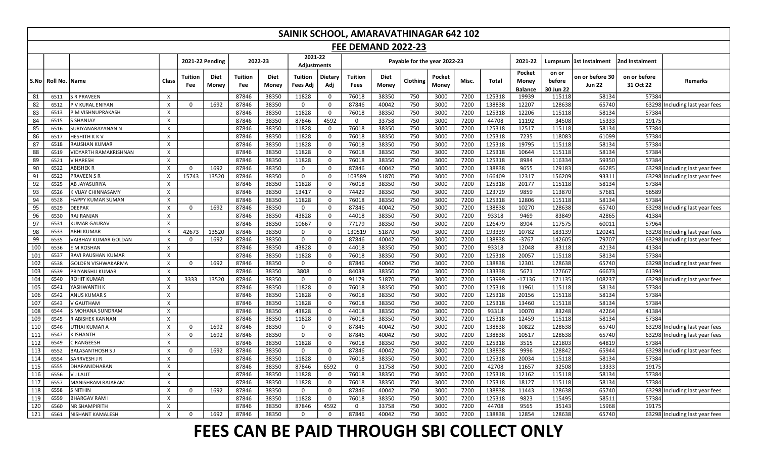|     | SAINIK SCHOOL, AMARAVATHINAGAR 642 102                                                                                                                                                                                                                                                                                                              |                           |                           |                       |                        |                       |                      |                            |                |                        |               |                              |                 |       |        |                                   |                              |                                  |                           |                                |
|-----|-----------------------------------------------------------------------------------------------------------------------------------------------------------------------------------------------------------------------------------------------------------------------------------------------------------------------------------------------------|---------------------------|---------------------------|-----------------------|------------------------|-----------------------|----------------------|----------------------------|----------------|------------------------|---------------|------------------------------|-----------------|-------|--------|-----------------------------------|------------------------------|----------------------------------|---------------------------|--------------------------------|
|     | <b>FEE DEMAND 2022-23</b><br>2021-22                                                                                                                                                                                                                                                                                                                |                           |                           |                       |                        |                       |                      |                            |                |                        |               |                              |                 |       |        |                                   |                              |                                  |                           |                                |
|     |                                                                                                                                                                                                                                                                                                                                                     |                           |                           |                       | <b>2021-22 Pending</b> |                       | 2022-23              | Adjustments                |                |                        |               | Payable for the year 2022-23 |                 |       |        | 2021-22                           |                              | Lumpsum  1st Instalment          | 2nd Instalment            |                                |
|     | S.No   Roll No.   Name                                                                                                                                                                                                                                                                                                                              |                           | Class                     | <b>Tuition</b><br>Fee | <b>Diet</b><br>Money   | <b>Tuition</b><br>Fee | <b>Diet</b><br>Money | <b>Tuition</b><br>Fees Adj | Dietary<br>Adj | Tuition<br><b>Fees</b> | Diet<br>Money | Clothing                     | Pocket<br>Money | Misc. | Total  | Pocket<br>Money<br><b>Balance</b> | on or<br>before<br>30 Jun 22 | on or before 30<br><b>Jun 22</b> | on or before<br>31 Oct 22 | <b>Remarks</b>                 |
| 81  | 6511                                                                                                                                                                                                                                                                                                                                                | <b>S R PRAVEEN</b>        | $\times$                  |                       |                        | 87846                 | 38350                | 11828                      | $\mathsf{o}$   | 76018                  | 38350         | 750                          | 3000            | 7200  | 125318 | 19939                             | 115118                       | 58134                            | 57384                     |                                |
| 82  | 6512                                                                                                                                                                                                                                                                                                                                                | P V KURAL ENIYAN          | $\times$                  | 0                     | 1692                   | 87846                 | 38350                | $\mathbf 0$                | $\mathsf{o}$   | 87846                  | 40042         | 750                          | 3000            | 7200  | 138838 | 12207                             | 128638                       | 65740                            | 63298                     | ncluding last year fees        |
| 83  | 6513                                                                                                                                                                                                                                                                                                                                                | P M VISHNUPRAKASH         | $\times$                  |                       |                        | 87846                 | 38350                | 11828                      | $\mathbf 0$    | 76018                  | 38350         | 750                          | 3000            | 7200  | 125318 | 12206                             | 115118                       | 58134                            | 57384                     |                                |
| 84  | 6515                                                                                                                                                                                                                                                                                                                                                | <b>S SHANJAY</b>          | $\times$                  |                       |                        | 87846                 | 38350                | 87846                      | 4592           | $\Omega$               | 33758         | 750                          | 3000            | 7200  | 44708  | 11192                             | 34508                        | 15333                            | 19175                     |                                |
| 85  | 6516                                                                                                                                                                                                                                                                                                                                                | SURIYANARAYANAN N         | $\times$                  |                       |                        | 87846                 | 38350                | 11828                      | $\mathbf 0$    | 76018                  | 38350         | 750                          | 3000            | 7200  | 125318 | 12517                             | 115118                       | 58134                            | 57384                     |                                |
| 86  | 6517                                                                                                                                                                                                                                                                                                                                                | <b>HESHITH KKV</b>        | $\mathsf{x}$              |                       |                        | 87846                 | 38350                | 11828                      | $\mathbf 0$    | 76018                  | 38350         | 750                          | 3000            | 7200  | 125318 | 7235                              | 118083                       | 61099                            | 57384                     |                                |
| 87  | 6518                                                                                                                                                                                                                                                                                                                                                | RAUSHAN KUMAR             | $\mathsf{x}$              |                       |                        | 87846                 | 38350                | 11828                      | $\mathbf 0$    | 76018                  | 38350         | 750                          | 3000            | 7200  | 125318 | 19795                             | 115118                       | 58134                            | 57384                     |                                |
| 88  | 7200<br>125318<br>58134<br>87846<br>38350<br>11828<br>$\mathbf 0$<br>76018<br>38350<br>750<br>3000<br>10644<br>115118<br>57384<br>6519<br><b>VIDYARTH RAMAKRISHNAN</b><br>$\times$<br>38350<br>11828<br>38350<br>3000<br>7200<br>125318<br>116334<br>59350<br>6521<br>V HARESH<br>$\times$<br>87846<br>$\mathbf 0$<br>76018<br>750<br>8984<br>57384 |                           |                           |                       |                        |                       |                      |                            |                |                        |               |                              |                 |       |        |                                   |                              |                                  |                           |                                |
| 89  | 38350<br>3000<br>7200<br>138838<br>9655<br>129183<br>66285<br>6522<br><b>ABISHEK R</b><br>$\times$<br>1692<br>87846<br>$\mathsf{o}$<br>87846<br>40042<br>750<br>63298<br>Including last year fees<br>$\Omega$<br>0                                                                                                                                  |                           |                           |                       |                        |                       |                      |                            |                |                        |               |                              |                 |       |        |                                   |                              |                                  |                           |                                |
| 90  |                                                                                                                                                                                                                                                                                                                                                     |                           |                           |                       |                        |                       |                      |                            |                |                        |               |                              |                 |       |        |                                   |                              |                                  |                           |                                |
| 91  | 6523                                                                                                                                                                                                                                                                                                                                                | <b>PRAVEEN S R</b>        | $\mathsf{x}$              | 15743                 | 13520                  | 87846                 | 38350                | $\mathsf 0$                | $\mathsf{o}$   | 103589                 | 51870         | 750                          | 3000            | 7200  | 166409 | 12317                             | 156209                       | 93311                            | 63298                     | ncluding last year fees        |
| 92  | 6525                                                                                                                                                                                                                                                                                                                                                | <b>AB JAYASURIYA</b>      | $\times$                  |                       |                        | 87846                 | 38350                | 11828                      | $\mathbf 0$    | 76018                  | 38350         | 750                          | 3000            | 7200  | 125318 | 20177                             | 115118                       | 58134                            | 57384                     |                                |
| 93  | 6526                                                                                                                                                                                                                                                                                                                                                | <b>K VIJAY CHINNASAMY</b> | $\times$                  |                       |                        | 87846                 | 38350                | 13417                      | $\mathbf 0$    | 74429                  | 38350         | 750                          | 3000            | 7200  | 123729 | 9859                              | 113870                       | 57681                            | 56589                     |                                |
| 94  | 6528                                                                                                                                                                                                                                                                                                                                                | <b>HAPPY KUMAR SUMAN</b>  | $\mathsf{x}$              |                       |                        | 87846                 | 38350                | 11828                      | $\mathsf{o}$   | 76018                  | 38350         | 750                          | 3000            | 7200  | 125318 | 12806                             | 115118                       | 58134                            | 57384                     |                                |
| 95  | 6529                                                                                                                                                                                                                                                                                                                                                | <b>DEEPAK</b>             | $\mathsf{x}$              | $\Omega$              | 1692                   | 87846                 | 38350                | 0                          | 0              | 87846                  | 40042         | 750                          | 3000            | 7200  | 138838 | 10270                             | 128638                       | 65740                            | 63298                     | Including last year fees       |
| 96  | 6530                                                                                                                                                                                                                                                                                                                                                | RAJ RANJAN                | $\mathsf{X}$              |                       |                        | 87846                 | 38350                | 43828                      | $\mathbf 0$    | 44018                  | 38350         | 750                          | 3000            | 7200  | 93318  | 9469                              | 83849                        | 42865                            | 41384                     |                                |
| 97  | 6531                                                                                                                                                                                                                                                                                                                                                | <b>KUMAR GAURAV</b>       | $\mathsf{X}$              |                       |                        | 87846                 | 38350                | 10667                      | $\mathsf{O}$   | 77179                  | 38350         | 750                          | 3000            | 7200  | 126479 | 8904                              | 117575                       | 60011                            | 57964                     |                                |
| 98  | 6533                                                                                                                                                                                                                                                                                                                                                | <b>ABHI KUMAR</b>         | $\mathsf{x}$              | 42673                 | 13520                  | 87846                 | 38350                | $\mathbf 0$                | $\mathsf{o}$   | 130519                 | 51870         | 750                          | 3000            | 7200  | 193339 | 10782                             | 183139                       | 120241                           | 63298                     | Including last year fees       |
| 99  | 6535                                                                                                                                                                                                                                                                                                                                                | VAIBHAV KUMAR GOLDAN      | $\boldsymbol{\mathsf{X}}$ | 0                     | 1692                   | 87846                 | 38350                | 0                          | $\mathsf{o}$   | 87846                  | 40042         | 750                          | 3000            | 7200  | 138838 | $-3767$                           | 142605                       | 79707                            | 63298                     | Including last year fees       |
| 100 | 6536                                                                                                                                                                                                                                                                                                                                                | E M ROSHAN                | $\times$                  |                       |                        | 87846                 | 38350                | 43828                      | $\mathbf 0$    | 44018                  | 38350         | 750                          | 3000            | 7200  | 93318  | 12048                             | 83118                        | 42134                            | 41384                     |                                |
| 101 | 6537                                                                                                                                                                                                                                                                                                                                                | RAVI RAUSHAN KUMAR        | $\times$                  |                       |                        | 87846                 | 38350                | 11828                      | $\mathbf 0$    | 76018                  | 38350         | 750                          | 3000            | 7200  | 125318 | 20057                             | 115118                       | 58134                            | 57384                     |                                |
| 102 | 6538                                                                                                                                                                                                                                                                                                                                                | <b>GOLDEN VISHWAKARMA</b> | $\mathsf{x}$              | $\Omega$              | 1692                   | 87846                 | 38350                | $\mathbf 0$                | $\mathbf 0$    | 87846                  | 40042         | 750                          | 3000            | 7200  | 138838 | 12301                             | 128638                       | 65740                            | 63298                     | Including last year fees       |
| 103 | 6539                                                                                                                                                                                                                                                                                                                                                | PRIYANSHU KUMAR           | $\boldsymbol{\mathsf{x}}$ |                       |                        | 87846                 | 38350                | 3808                       | $\mathbf 0$    | 84038                  | 38350         | 750                          | 3000            | 7200  | 133338 | 5671                              | 127667                       | 66673                            | 61394                     |                                |
| 104 | 6540                                                                                                                                                                                                                                                                                                                                                | <b>ROHIT KUMAR</b>        | $\mathsf{x}$              | 3333                  | 13520                  | 87846                 | 38350                | $\mathbf 0$                | $\mathbf 0$    | 91179                  | 51870         | 750                          | 3000            | 7200  | 153999 | $-17136$                          | 171135                       | 108237                           | 63298                     | Including last year fees       |
| 105 | 6541                                                                                                                                                                                                                                                                                                                                                | YASHWANTH K               | $\times$                  |                       |                        | 87846                 | 38350                | 11828                      | $\mathsf{O}$   | 76018                  | 38350         | 750                          | 3000            | 7200  | 125318 | 11961                             | 115118                       | 58134                            | 57384                     |                                |
| 106 | 6542                                                                                                                                                                                                                                                                                                                                                | <b>ANUS KUMAR S</b>       | $\times$                  |                       |                        | 87846                 | 38350                | 11828                      | $\mathbf 0$    | 76018                  | 38350         | 750                          | 3000            | 7200  | 125318 | 20156                             | 115118                       | 58134                            | 57384                     |                                |
| 107 | 6543                                                                                                                                                                                                                                                                                                                                                | V GAUTHAM                 | $\mathsf{X}$              |                       |                        | 87846                 | 38350                | 11828                      | $\mathbf 0$    | 76018                  | 38350         | 750                          | 3000            | 7200  | 125318 | 13460                             | 115118                       | 58134                            | 57384                     |                                |
| 108 | 6544                                                                                                                                                                                                                                                                                                                                                | S MOHANA SUNDRAM          | $\mathsf{x}$              |                       |                        | 87846                 | 38350                | 43828                      | $\mathbf 0$    | 44018                  | 38350         | 750                          | 3000            | 7200  | 93318  | 10070                             | 83248                        | 42264                            | 41384                     |                                |
| 109 | 6545                                                                                                                                                                                                                                                                                                                                                | R ABISHEK KANNAN          | $\times$                  |                       |                        | 87846                 | 38350                | 11828                      | $\mathbf 0$    | 76018                  | 38350         | 750                          | 3000            | 7200  | 125318 | 12459                             | 115118                       | 58134                            | 57384                     |                                |
| 110 | 6546                                                                                                                                                                                                                                                                                                                                                | UTHAI KUMAR A             | $\times$                  | $\Omega$              | 1692                   | 87846                 | 38350                | $\mathbf 0$                | $\mathbf 0$    | 87846                  | 40042         | 750                          | 3000            | 7200  | 138838 | 10822                             | 128638                       | 65740                            | 63298                     | Including last year fees       |
| 111 | 6547                                                                                                                                                                                                                                                                                                                                                | <b>KISHANTH</b>           | $\times$                  | $\Omega$              | 1692                   | 87846                 | 38350                | $\mathbf 0$                | $\mathbf 0$    | 87846                  | 40042         | 750                          | 3000            | 7200  | 138838 | 10517                             | 128638                       | 65740                            | 63298                     | Including last year fees       |
| 112 | 6549                                                                                                                                                                                                                                                                                                                                                | C RANGEESH                | $\mathsf{x}$              |                       |                        | 87846                 | 38350                | 11828                      | $\mathsf{o}$   | 76018                  | 38350         | 750                          | 3000            | 7200  | 125318 | 3515                              | 121803                       | 64819                            | 57384                     |                                |
| 113 | 6552                                                                                                                                                                                                                                                                                                                                                | <b>BALASANTHOSH SJ</b>    | $\boldsymbol{\mathsf{X}}$ | $\Omega$              | 1692                   | 87846                 | 38350                | $\Omega$                   | $\mathbf 0$    | 87846                  | 40042         | 750                          | 3000            | 7200  | 138838 | 9996                              | 128842                       | 65944                            | 63298                     | Including last year fees       |
| 114 | 6554                                                                                                                                                                                                                                                                                                                                                | SARRVESH J R              | $\mathsf{x}$              |                       |                        | 87846                 | 38350                | 11828                      | $\mathbf 0$    | 76018                  | 38350         | 750                          | 3000            | 7200  | 125318 | 20034                             | 115118                       | 58134                            | 57384                     |                                |
| 115 | 6555                                                                                                                                                                                                                                                                                                                                                | DHARANIDHARAN             | $\pmb{\times}$            |                       |                        | 87846                 | 38350                | 87846                      | 6592           | 0                      | 31758         | 750                          | 3000            | 7200  | 42708  | 11657                             | 32508                        | 13333                            | 19175                     |                                |
| 116 | 6556                                                                                                                                                                                                                                                                                                                                                | V J LALIT                 | $\mathsf{x}$              |                       |                        | 87846                 | 38350                | 11828                      | $\mathsf{o}$   | 76018                  | 38350         | 750                          | 3000            | 7200  | 125318 | 12162                             | 115118                       | 58134                            | 57384                     |                                |
| 117 | 6557                                                                                                                                                                                                                                                                                                                                                | MANISHRAM RAJARAM         | $\mathsf{X}$              |                       |                        | 87846                 | 38350                | 11828                      | $\mathbf 0$    | 76018                  | 38350         | 750                          | 3000            | 7200  | 125318 | 18127                             | 115118                       | 58134                            | 57384                     |                                |
| 118 | 6558                                                                                                                                                                                                                                                                                                                                                | <b>S NITHIN</b>           | X                         | $\Omega$              | 1692                   | 87846                 | 38350                | $\mathbf 0$                | $\mathbf 0$    | 87846                  | 40042         | 750                          | 3000            | 7200  | 138838 | 11443                             | 128638                       | 65740                            | 63298                     | Including last year fees       |
| 119 | 6559                                                                                                                                                                                                                                                                                                                                                | <b>BHARGAV RAM I</b>      | $\mathsf{x}$              |                       |                        | 87846                 | 38350                | 11828                      | $\mathbf 0$    | 76018                  | 38350         | 750                          | 3000            | 7200  | 125318 | 9823                              | 115495                       | 58511                            | 57384                     |                                |
| 120 | 6560                                                                                                                                                                                                                                                                                                                                                | <b>NR SHAMPIRITH</b>      | $\boldsymbol{\mathsf{x}}$ |                       |                        | 87846                 | 38350                | 87846                      | 4592           | $\mathbf 0$            | 33758         | 750                          | 3000            | 7200  | 44708  | 9565                              | 35143                        | 15968                            | 19175                     |                                |
| 121 | 6561                                                                                                                                                                                                                                                                                                                                                | <b>NISHANT KAMALESH</b>   | $\times$                  | $\Omega$              | 1692                   | 87846                 | 38350                | $\Omega$                   | $\Omega$       | 87846                  | 40042         | 750                          | 3000            | 7200  | 138838 | 12854                             | 128638                       | 65740                            |                           | 63298 Including last year fees |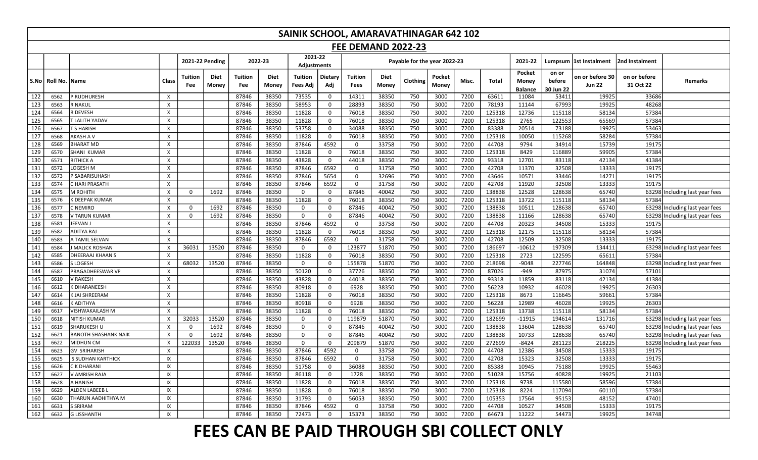|      |                      | SAINIK SCHOOL, AMARAVATHINAGAR 642 102                                                             |                           |                       |                      |                              |                             |                            |                |                        |                      |          |                 |       |        |                                   |                              |                                  |                           |                                |
|------|----------------------|----------------------------------------------------------------------------------------------------|---------------------------|-----------------------|----------------------|------------------------------|-----------------------------|----------------------------|----------------|------------------------|----------------------|----------|-----------------|-------|--------|-----------------------------------|------------------------------|----------------------------------|---------------------------|--------------------------------|
|      |                      | <b>FEE DEMAND 2022-23</b><br>2021-22<br>2021-22 Pending<br>2022-23<br>Payable for the year 2022-23 |                           |                       |                      |                              |                             |                            |                |                        |                      |          |                 |       |        |                                   |                              |                                  |                           |                                |
|      |                      |                                                                                                    |                           |                       |                      |                              |                             | Adjustments                |                |                        |                      |          |                 |       |        | 2021-22                           |                              | Lumpsum  1st Instalment          | 2nd Instalment            |                                |
| S.No | <b>Roll No. Name</b> |                                                                                                    | Class                     | <b>Tuition</b><br>Fee | <b>Diet</b><br>Money | <b>Tuition</b><br><b>Fee</b> | <b>Diet</b><br><b>Money</b> | <b>Tuition</b><br>Fees Adi | Dietary<br>Adj | <b>Tuition</b><br>Fees | <b>Diet</b><br>Money | Clothing | Pocket<br>Money | Misc. | Total  | Pocket<br>Money<br><b>Balance</b> | on or<br>before<br>30 Jun 22 | on or before 30<br><b>Jun 22</b> | on or before<br>31 Oct 22 | <b>Remarks</b>                 |
| 122  | 6562                 | P RUDHURESH                                                                                        | $\boldsymbol{\mathsf{X}}$ |                       |                      | 87846                        | 38350                       | 73535                      | $\mathbf 0$    | 14311                  | 38350                | 750      | 3000            | 7200  | 63611  | 11084                             | 53411                        | 19925                            | 33686                     |                                |
| 123  | 6563                 | <b>R NAKUL</b>                                                                                     | $\boldsymbol{\mathsf{X}}$ |                       |                      | 87846                        | 38350                       | 58953                      | $\mathbf 0$    | 28893                  | 38350                | 750      | 3000            | 7200  | 78193  | 11144                             | 67993                        | 19925                            | 48268                     |                                |
| 124  | 6564                 | R DEVESH                                                                                           | $\times$                  |                       |                      | 87846                        | 38350                       | 11828                      | $\mathbf 0$    | 76018                  | 38350                | 750      | 3000            | 7200  | 125318 | 12736                             | 115118                       | 58134                            | 57384                     |                                |
| 125  | 6565                 | T LALITH YADAV                                                                                     | $\boldsymbol{\mathsf{x}}$ |                       |                      | 87846                        | 38350                       | 11828                      | $\mathbf 0$    | 76018                  | 38350                | 750      | 3000            | 7200  | 125318 | 2765                              | 122553                       | 65569                            | 57384                     |                                |
| 126  | 6567                 | T S HARISH                                                                                         | $\boldsymbol{\mathsf{x}}$ |                       |                      | 87846                        | 38350                       | 53758                      | $\mathbf 0$    | 34088                  | 38350                | 750      | 3000            | 7200  | 83388  | 20514                             | 73188                        | 19925                            | 53463                     |                                |
| 127  | 6568                 | AKASH A V                                                                                          | $\times$                  |                       |                      | 87846                        | 38350                       | 11828                      | $\mathbf 0$    | 76018                  | 38350                | 750      | 3000            | 7200  | 125318 | 10050                             | 115268                       | 58284                            | 57384                     |                                |
| 128  | 6569                 | <b>BHARAT MD</b>                                                                                   |                           | 87846                 | 38350                | 87846                        | 4592                        | $\mathbf 0$                | 33758          | 750                    | 3000                 | 7200     | 44708           | 9794  | 34914  | 15739                             | 19175                        |                                  |                           |                                |
| 129  | 6570                 | <b>SHANI KUMAR</b>                                                                                 | $\mathsf{X}$              |                       |                      | 87846                        | 38350                       | 11828                      | $\mathbf 0$    | 76018                  | 38350                | 750      | 3000            | 7200  | 125318 | 8429                              | 116889                       | 59905                            | 57384                     |                                |
| 130  | 6571                 | <b>RITHICK A</b>                                                                                   |                           | 87846                 | 38350                | 43828                        | $\mathbf 0$                 | 44018                      | 38350          | 750                    | 3000                 | 7200     | 93318           | 12701 | 83118  | 42134                             | 41384                        |                                  |                           |                                |
| 131  | 6572                 | LOGESH M                                                                                           | $\mathsf{x}$              |                       |                      | 87846                        | 38350                       | 87846                      | 6592           | $\Omega$               | 31758                | 750      | 3000            | 7200  | 42708  | 11370                             | 32508                        | 13333                            | 19175                     |                                |
| 132  | 6573                 | P SABARISUHASH                                                                                     | $\mathsf{x}$              |                       |                      | 87846                        | 38350                       | 87846                      | 5654           | $\Omega$               | 32696                | 750      | 3000            | 7200  | 43646  | 10571                             | 33446                        | 14271                            | 19175                     |                                |
| 133  | 6574                 | C HARI PRASATH                                                                                     | $\mathsf{X}$              |                       |                      | 87846                        | 38350                       | 87846                      | 6592           | $\mathbf{0}$           | 31758                | 750      | 3000            | 7200  | 42708  | 11920                             | 32508                        | 13333                            | 19175                     |                                |
| 134  | 6575                 | M ROHITH                                                                                           | $\pmb{\times}$            | $\Omega$              | 1692                 | 87846                        | 38350                       | 0                          | $\mathbf 0$    | 87846                  | 40042                | 750      | 3000            | 7200  | 138838 | 12528                             | 128638                       | 65740                            | 63298                     | Including last year fees       |
| 135  | 6576                 | K DEEPAK KUMAR                                                                                     | $\mathsf{x}$              |                       |                      | 87846                        | 38350                       | 11828                      | $\mathbf 0$    | 76018                  | 38350                | 750      | 3000            | 7200  | 125318 | 13722                             | 115118                       | 58134                            | 57384                     |                                |
| 136  | 6577                 | C NEMIRO                                                                                           | $\boldsymbol{\mathsf{X}}$ | $\mathbf 0$           | 1692                 | 87846                        | 38350                       | $\mathbf 0$                | $\mathbf 0$    | 87846                  | 40042                | 750      | 3000            | 7200  | 138838 | 10511                             | 128638                       | 65740                            |                           | 63298 Including last year fees |
| 137  | 6578                 | V TARUN KUMAR                                                                                      | $\boldsymbol{\mathsf{x}}$ | 0                     | 1692                 | 87846                        | 38350                       | $\mathsf{O}$               | $\mathbf 0$    | 87846                  | 40042                | 750      | 3000            | 7200  | 138838 | 11166                             | 128638                       | 65740                            | 63298                     | Including last year fees       |
| 138  | 6581                 | JEEVAN J                                                                                           | $\times$                  |                       |                      | 87846                        | 38350                       | 87846                      | 4592           | 0                      | 33758                | 750      | 3000            | 7200  | 44708  | 20323                             | 34508                        | 15333                            | 19175                     |                                |
| 139  | 6582                 | <b>ADITYA RAJ</b>                                                                                  | $\mathsf{X}$              |                       |                      | 87846                        | 38350                       | 11828                      | $\mathbf 0$    | 76018                  | 38350                | 750      | 3000            | 7200  | 125318 | 12175                             | 115118                       | 58134                            | 57384                     |                                |
| 140  | 6583                 | A TAMIL SELVAN                                                                                     | $\boldsymbol{\mathsf{X}}$ |                       |                      | 87846                        | 38350                       | 87846                      | 6592           | $\mathbf 0$            | 31758                | 750      | 3000            | 7200  | 42708  | 12509                             | 32508                        | 13333                            | 19175                     |                                |
| 141  | 6584                 | <b>J MALICK ROSHAN</b>                                                                             | $\boldsymbol{\mathsf{X}}$ | 36031                 | 13520                | 87846                        | 38350                       | $\mathbf 0$                | $\mathbf 0$    | 123877                 | 51870                | 750      | 3000            | 7200  | 186697 | $-10612$                          | 197309                       | 134411                           | 63298                     | Including last year fees       |
| 142  | 6585                 | DHEERAAJ KHAAN S                                                                                   | $\times$                  |                       |                      | 87846                        | 38350                       | 11828                      | $\mathbf 0$    | 76018                  | 38350                | 750      | 3000            | 7200  | 125318 | 2723                              | 122595                       | 65611                            | 57384                     |                                |
| 143  | 6586                 | S LOGESH                                                                                           | $\times$                  | 68032                 | 13520                | 87846                        | 38350                       | $\mathbf 0$                | $\mathbf 0$    | 155878                 | 51870                | 750      | 3000            | 7200  | 218698 | $-9048$                           | 227746                       | 164848                           | 63298                     | Including last year fees       |
| 144  | 6587                 | PRAGADHEESWAR VP                                                                                   | $\boldsymbol{\mathsf{x}}$ |                       |                      | 87846                        | 38350                       | 50120                      | $\mathbf 0$    | 37726                  | 38350                | 750      | 3000            | 7200  | 87026  | $-949$                            | 87975                        | 31074                            | 57101                     |                                |
| 145  | 6610                 | <b>V RAKESH</b>                                                                                    | $\mathsf{x}$              |                       |                      | 87846                        | 38350                       | 43828                      | $\mathbf 0$    | 44018                  | 38350                | 750      | 3000            | 7200  | 93318  | 11859                             | 83118                        | 42134                            | 41384                     |                                |
| 146  | 6612                 | K DHARANEESH                                                                                       | $\times$                  |                       |                      | 87846                        | 38350                       | 80918                      | $\mathbf 0$    | 6928                   | 38350                | 750      | 3000            | 7200  | 56228  | 10932                             | 46028                        | 19925                            | 26303                     |                                |
| 147  | 6614                 | K JAI SHREERAM                                                                                     | $\boldsymbol{\mathsf{X}}$ |                       |                      | 87846                        | 38350                       | 11828                      | $\mathbf 0$    | 76018                  | 38350                | 750      | 3000            | 7200  | 125318 | 8673                              | 116645                       | 59661                            | 57384                     |                                |
| 148  | 6616                 | K ADITHYA                                                                                          | $\mathsf{x}$              |                       |                      | 87846                        | 38350                       | 80918                      | $\mathbf 0$    | 6928                   | 38350                | 750      | 3000            | 7200  | 56228  | 12989                             | 46028                        | 19925                            | 26303                     |                                |
| 149  | 6617                 | VISHWAKAILASH M                                                                                    | $\mathsf{x}$              |                       |                      | 87846                        | 38350                       | 11828                      | $\mathsf{O}$   | 76018                  | 38350                | 750      | 3000            | 7200  | 125318 | 13738                             | 115118                       | 58134                            | 57384                     |                                |
| 150  | 6618                 | <b>NITISH KUMAR</b>                                                                                | $\mathsf{X}$              | 32033                 | 13520                | 87846                        | 38350                       | 0                          | $\mathsf{o}$   | 119879                 | 51870                | 750      | 3000            | 7200  | 182699 | $-11915$                          | 194614                       | 131716                           | 63298                     | Including last year fees       |
| 151  | 6619                 | SHARUKESH U                                                                                        | $\boldsymbol{\mathsf{X}}$ | $\Omega$              | 1692                 | 87846                        | 38350                       | $\mathbf 0$                | $\mathbf 0$    | 87846                  | 40042                | 750      | 3000            | 7200  | 138838 | 13604                             | 128638                       | 65740                            | 63298                     | ncluding last year fees        |
| 152  | 6621                 | <b>BANOTH SHASHANK NAIK</b>                                                                        | $\boldsymbol{\mathsf{X}}$ | $\Omega$              | 1692                 | 87846                        | 38350                       | 0                          | $\mathbf 0$    | 87846                  | 40042                | 750      | 3000            | 7200  | 138838 | 10733                             | 128638                       | 65740                            | 63298                     | Including last year fees       |
| 153  | 6622                 | <b>MIDHUN CM</b>                                                                                   | $\boldsymbol{\mathsf{X}}$ | 122033                | 13520                | 87846                        | 38350                       | $\mathbf 0$                | $\mathbf 0$    | 209879                 | 51870                | 750      | 3000            | 7200  | 272699 | $-8424$                           | 281123                       | 218225                           | 63298                     | ncluding last year fees        |
| 154  | 6623                 | <b>GV SRIHARISH</b>                                                                                | $\boldsymbol{\mathsf{X}}$ |                       |                      | 87846                        | 38350                       | 87846                      | 4592           | 0                      | 33758                | 750      | 3000            | 7200  | 44708  | 12386                             | 34508                        | 15333                            | 19175                     |                                |
| 155  | 6625                 | S SUDHAN KARTHICK                                                                                  | IX                        |                       |                      | 87846                        | 38350                       | 87846                      | 6592           | 0                      | 31758                | 750      | 3000            | 7200  | 42708  | 15323                             | 32508                        | 13333                            | 19175                     |                                |
| 156  | 6626                 | C K DHARANI                                                                                        | IX                        |                       |                      | 87846                        | 38350                       | 51758                      | $\mathbf 0$    | 36088                  | 38350                | 750      | 3000            | 7200  | 85388  | 10945                             | 75188                        | 19925                            | 55463                     |                                |
| 157  | 6627                 | V AMRISH RAJA                                                                                      | IX                        |                       |                      | 87846                        | 38350                       | 86118                      | $\mathbf 0$    | 1728                   | 38350                | 750      | 3000            | 7200  | 51028  | 15756                             | 40828                        | 19925                            | 21103                     |                                |
| 158  | 6628                 | A HANISH                                                                                           | IX                        |                       |                      | 87846                        | 38350                       | 11828                      | $\mathbf 0$    | 76018                  | 38350                | 750      | 3000            | 7200  | 125318 | 9738                              | 115580                       | 58596                            | 57384                     |                                |
| 159  | 6629                 | ALDEN LABEEB L                                                                                     | IX                        |                       |                      | 87846                        | 38350                       | 11828                      | $\mathbf 0$    | 76018                  | 38350                | 750      | 3000            | 7200  | 125318 | 8224                              | 117094                       | 60110                            | 57384                     |                                |
| 160  | 6630                 | THARUN AADHITHYA M                                                                                 | IX                        |                       |                      | 87846                        | 38350                       | 31793                      | $\mathbf 0$    | 56053                  | 38350                | 750      | 3000            | 7200  | 105353 | 17564                             | 95153                        | 48152                            | 47401                     |                                |
| 161  | 6631                 | <b>S SRIRAM</b>                                                                                    | IX                        |                       |                      | 87846                        | 38350                       | 87846                      | 4592           | $\Omega$               | 33758                | 750      | 3000            | 7200  | 44708  | 10527                             | 34508                        | 15333                            | 19175                     |                                |
| 162  | 6632                 | <b>G LISSHANTH</b>                                                                                 | IX                        |                       |                      | 87846                        | 38350                       | 72473                      | $\mathbf{0}$   | 15373                  | 38350                | 750      | 3000            | 7200  | 64673  | 11222                             | 54473                        | 19925                            | 34748                     |                                |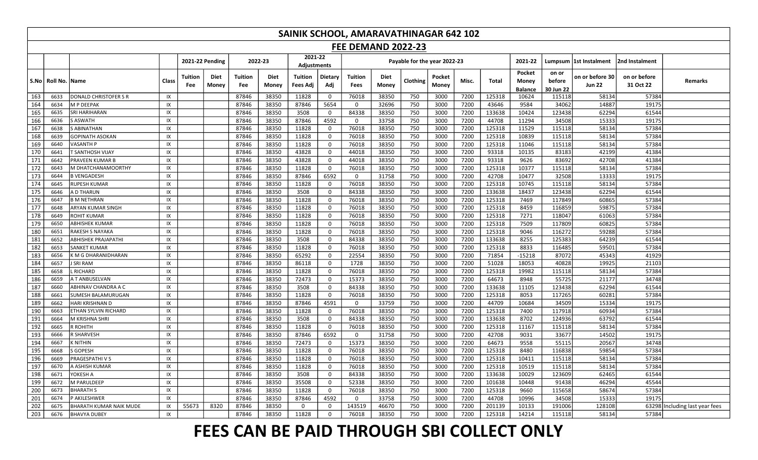|     |                                      |                              |       |                        |                      |                       |               | SAINIK SCHOOL, AMARAVATHINAGAR 642 102 |                |                 |               |                              |                 |       |        |                                   |                              |                                  |                           |                          |
|-----|--------------------------------------|------------------------------|-------|------------------------|----------------------|-----------------------|---------------|----------------------------------------|----------------|-----------------|---------------|------------------------------|-----------------|-------|--------|-----------------------------------|------------------------------|----------------------------------|---------------------------|--------------------------|
|     | <b>FEE DEMAND 2022-23</b><br>2021-22 |                              |       |                        |                      |                       |               |                                        |                |                 |               |                              |                 |       |        |                                   |                              |                                  |                           |                          |
|     |                                      |                              |       | <b>2021-22 Pending</b> |                      |                       | 2022-23       | Adjustments                            |                |                 |               | Payable for the year 2022-23 |                 |       |        | 2021-22                           |                              | Lumpsum  1st Instalment          | 2nd Instalment            |                          |
|     | S.No   Roll No.  Name                |                              | Class | Tuition<br>Fee         | <b>Diet</b><br>Money | <b>Tuition</b><br>Fee | Diet<br>Money | Tuition<br>Fees Adj                    | Dietary<br>Adj | Tuition<br>Fees | Diet<br>Money | Clothing                     | Pocket<br>Money | Misc. | Total  | Pocket<br>Money<br><b>Balance</b> | on or<br>before<br>30 Jun 22 | on or before 30<br><b>Jun 22</b> | on or before<br>31 Oct 22 | Remarks                  |
| 163 | 6633                                 | <b>DONALD CHRISTOFER S R</b> | IX    |                        |                      | 87846                 | 38350         | 11828                                  | $\mathbf 0$    | 76018           | 38350         | 750                          | 3000            | 7200  | 125318 | 10624                             | 115118                       | 58134                            | 57384                     |                          |
| 164 | 6634                                 | <b>M P DEEPAK</b>            | IX    |                        |                      | 87846                 | 38350         | 87846                                  | 5654           | $\Omega$        | 32696         | 750                          | 3000            | 7200  | 43646  | 9584                              | 34062                        | 14887                            | 19175                     |                          |
| 165 | 6635                                 | <b>SRI HARIHARAN</b>         | IX    |                        |                      | 87846                 | 38350         | 3508                                   | $\mathbf 0$    | 84338           | 38350         | 750                          | 3000            | 7200  | 133638 | 10424                             | 123438                       | 62294                            | 61544                     |                          |
| 166 | 6636                                 | <b>S ASWATH</b>              | IX    |                        |                      | 87846                 | 38350         | 87846                                  | 4592           | $\mathbf 0$     | 33758         | 750                          | 3000            | 7200  | 44708  | 11294                             | 34508                        | 15333                            | 19175                     |                          |
| 167 | 6638                                 | S ABINATHAN                  | IX    |                        |                      | 87846                 | 38350         | 11828                                  | $\mathbf 0$    | 76018           | 38350         | 750                          | 3000            | 7200  | 125318 | 11529                             | 115118                       | 58134                            | 57384                     |                          |
| 168 | 6639                                 | <b>GOPINATH ASOKAN</b>       | IX    |                        |                      | 87846                 | 38350         | 11828                                  | $\mathbf{0}$   | 76018           | 38350         | 750                          | 3000            | 7200  | 125318 | 10839                             | 115118                       | 58134                            | 57384                     |                          |
| 169 | 6640                                 | <b>VASANTH P</b>             | IX    |                        |                      | 87846                 | 38350         | 11828                                  | 0              | 76018           | 38350         | 750                          | 3000            | 7200  | 125318 | 11046                             | 115118                       | 58134                            | 57384                     |                          |
| 170 | 6641                                 | T SANTHOSH VIJAY             | IX    |                        |                      | 87846                 | 38350         | 43828                                  | 0              | 44018           | 38350         | 750                          | 3000            | 7200  | 93318  | 10135                             | 83183                        | 42199                            | 41384                     |                          |
| 171 | 6642                                 | <b>PRAVEEN KUMAR B</b>       | IX    |                        |                      | 87846                 | 38350         | 43828                                  | $\mathbf 0$    | 44018           | 38350         | 750                          | 3000            | 7200  | 93318  | 9626                              | 83692                        | 42708                            | 41384                     |                          |
| 172 | 6643                                 | M DHATCHANAMOORTHY           | IX    |                        |                      | 87846                 | 38350         | 11828                                  | 0              | 76018           | 38350         | 750                          | 3000            | 7200  | 125318 | 10377                             | 115118                       | 58134                            | 57384                     |                          |
| 173 | 6644                                 | <b>B VENGADESH</b>           | IX    |                        |                      | 87846                 | 38350         | 87846                                  | 6592           | $\mathbf 0$     | 31758         | 750                          | 3000            | 7200  | 42708  | 10477                             | 32508                        | 13333                            | 19175                     |                          |
| 174 | 6645                                 | <b>RUPESH KUMAR</b>          | IX    |                        |                      | 87846                 | 38350         | 11828                                  | $\mathbf 0$    | 76018           | 38350         | 750                          | 3000            | 7200  | 125318 | 10745                             | 115118                       | 58134                            | 57384                     |                          |
| 175 | 6646                                 | A D THARUN                   | IX    |                        |                      | 87846                 | 38350         | 3508                                   | 0              | 84338           | 38350         | 750                          | 3000            | 7200  | 133638 | 18437                             | 123438                       | 62294                            | 61544                     |                          |
| 176 | 6647                                 | <b>B M NETHRAN</b>           | IX    |                        |                      | 87846                 | 38350         | 11828                                  | 0              | 76018           | 38350         | 750                          | 3000            | 7200  | 125318 | 7469                              | 117849                       | 60865                            | 57384                     |                          |
| 177 | 6648                                 | ARYAN KUMAR SINGH            | IX    |                        |                      | 87846                 | 38350         | 11828                                  | $\mathsf{O}$   | 76018           | 38350         | 750                          | 3000            | 7200  | 125318 | 8459                              | 116859                       | 59875                            | 57384                     |                          |
| 178 | 6649                                 | <b>ROHIT KUMAR</b>           | IX    |                        |                      | 87846                 | 38350         | 11828                                  | $\mathbf 0$    | 76018           | 38350         | 750                          | 3000            | 7200  | 125318 | 7271                              | 118047                       | 61063                            | 57384                     |                          |
| 179 | 6650                                 | ABHISHEK KUMAR               | IX    |                        |                      | 87846                 | 38350         | 11828                                  | $\mathbf 0$    | 76018           | 38350         | 750                          | 3000            | 7200  | 125318 | 7509                              | 117809                       | 60825                            | 57384                     |                          |
| 180 | 6651                                 | RAKESH S NAYAKA              | IX    |                        |                      | 87846                 | 38350         | 11828                                  | $\mathbf 0$    | 76018           | 38350         | 750                          | 3000            | 7200  | 125318 | 9046                              | 116272                       | 59288                            | 57384                     |                          |
| 181 | 6652                                 | <b>ABHISHEK PRAJAPATHI</b>   | IX    |                        |                      | 87846                 | 38350         | 3508                                   | $\mathbf 0$    | 84338           | 38350         | 750                          | 3000            | 7200  | 133638 | 8255                              | 125383                       | 64239                            | 61544                     |                          |
| 182 | 6653                                 | <b>SANKET KUMAR</b>          | IX    |                        |                      | 87846                 | 38350         | 11828                                  | 0              | 76018           | 38350         | 750                          | 3000            | 7200  | 125318 | 8833                              | 116485                       | 59501                            | 57384                     |                          |
| 183 | 6656                                 | K M G DHARANIDHARAN          | IX    |                        |                      | 87846                 | 38350         | 65292                                  | 0              | 22554           | 38350         | 750                          | 3000            | 7200  | 71854  | $-15218$                          | 87072                        | 45343                            | 41929                     |                          |
| 184 | 6657                                 | <b>J SRI RAM</b>             | IX    |                        |                      | 87846                 | 38350         | 86118                                  | $\mathbf{0}$   | 1728            | 38350         | 750                          | 3000            | 7200  | 51028  | 18053                             | 40828                        | 19925                            | 21103                     |                          |
| 185 | 6658                                 | .RICHARD                     | IX    |                        |                      | 87846                 | 38350         | 11828                                  | $\mathbf 0$    | 76018           | 38350         | 750                          | 3000            | 7200  | 125318 | 19982                             | 115118                       | 58134                            | 57384                     |                          |
| 186 | 6659                                 | A T ANBUSELVAN               | IX    |                        |                      | 87846                 | 38350         | 72473                                  | 0              | 15373           | 38350         | 750                          | 3000            | 7200  | 64673  | 8948                              | 55725                        | 21177                            | 34748                     |                          |
| 187 | 6660                                 | ABHINAV CHANDRA A C          | IX    |                        |                      | 87846                 | 38350         | 3508                                   | $\mathsf{O}$   | 84338           | 38350         | 750                          | 3000            | 7200  | 133638 | 11105                             | 123438                       | 62294                            | 61544                     |                          |
| 188 | 6661                                 | SUMESH BALAMURUGAN           | IX    |                        |                      | 87846                 | 38350         | 11828                                  | $\mathbf 0$    | 76018           | 38350         | 750                          | 3000            | 7200  | 125318 | 8053                              | 117265                       | 60281                            | 57384                     |                          |
| 189 | 6662                                 | HARI KRISHNAN D              | IX    |                        |                      | 87846                 | 38350         | 87846                                  | 4591           | $\mathbf 0$     | 33759         | 750                          | 3000            | 7200  | 44709  | 10684                             | 34509                        | 15334                            | 19175                     |                          |
| 190 | 6663                                 | ETHAN SYLVIN RICHARD         | IX    |                        |                      | 87846                 | 38350         | 11828                                  | $\mathbf 0$    | 76018           | 38350         | 750                          | 3000            | 7200  | 125318 | 7400                              | 117918                       | 60934                            | 57384                     |                          |
| 191 | 6664                                 | M KRISHNA SHRI               | IX    |                        |                      | 87846                 | 38350         | 3508                                   | $\mathbf 0$    | 84338           | 38350         | 750                          | 3000            | 7200  | 133638 | 8702                              | 124936                       | 63792                            | 61544                     |                          |
| 192 | 6665                                 | <b>R ROHITH</b>              | IX    |                        |                      | 87846                 | 38350         | 11828                                  | $\mathbf 0$    | 76018           | 38350         | 750                          | 3000            | 7200  | 125318 | 11167                             | 115118                       | 58134                            | 57384                     |                          |
| 193 | 6666                                 | R SHARVESH                   | IX    |                        |                      | 87846                 | 38350         | 87846                                  | 6592           | $\mathbf 0$     | 31758         | 750                          | 3000            | 7200  | 42708  | 9031                              | 33677                        | 14502                            | 19175                     |                          |
| 194 | 6667                                 | <b>K NITHIN</b>              | IX    |                        |                      | 87846                 | 38350         | 72473                                  | 0              | 15373           | 38350         | 750                          | 3000            | 7200  | 64673  | 9558                              | 55115                        | 20567                            | 34748                     |                          |
| 195 | 6668                                 | S GOPESH                     | IX    |                        |                      | 87846                 | 38350         | 11828                                  | $\mathbf 0$    | 76018           | 38350         | 750                          | 3000            | 7200  | 125318 | 8480                              | 116838                       | 59854                            | 57384                     |                          |
| 196 | 6669                                 | PRAGESPATHI V S              | IX    |                        |                      | 87846                 | 38350         | 11828                                  | 0              | 76018           | 38350         | 750                          | 3000            | 7200  | 125318 | 10411                             | 115118                       | 58134                            | 57384                     |                          |
| 197 | 6670                                 | A ASHISH KUMAR               | IX    |                        |                      | 87846                 | 38350         | 11828                                  | 0              | 76018           | 38350         | 750                          | 3000            | 7200  | 125318 | 10519                             | 115118                       | 58134                            | 57384                     |                          |
| 198 | 6671                                 | YOKESH A                     | IX    |                        |                      | 87846                 | 38350         | 3508                                   | 0              | 84338           | 38350         | 750                          | 3000            | 7200  | 133638 | 10029                             | 123609                       | 62465                            | 61544                     |                          |
| 199 | 6672                                 | M PARULDEEP                  | IX    |                        |                      | 87846                 | 38350         | 35508                                  | $\mathbf 0$    | 52338           | 38350         | 750                          | 3000            | 7200  | 101638 | 10448                             | 91438                        | 46294                            | 45544                     |                          |
| 200 | 6673                                 | <b>BHARATH S</b>             | IX    |                        |                      | 87846                 | 38350         | 11828                                  | $\mathsf{O}$   | 76018           | 38350         | 750                          | 3000            | 7200  | 125318 | 9660                              | 115658                       | 58674                            | 57384                     |                          |
| 201 | 6674                                 | P AKILESHWER                 | IX    |                        |                      | 87846                 | 38350         | 87846                                  | 4592           | $\mathbf 0$     | 33758         | 750                          | 3000            | 7200  | 44708  | 10996                             | 34508                        | 15333                            | 19175                     |                          |
| 202 | 6675                                 | BHARATH KUMAR NAIK MUDE      | IX    | 55673                  | 8320                 | 87846                 | 38350         | $\mathbf 0$                            | $\mathbf 0$    | 143519          | 46670         | 750                          | 3000            | 7200  | 201139 | 10133                             | 191006                       | 128108                           | 63298                     | Including last year fees |
| 203 | 6676                                 | <b>BHAVYA DUBEY</b>          | IX    |                        |                      | 87846                 | 38350         | 11828                                  | $\Omega$       | 76018           | 38350         | 750                          | 3000            | 7200  | 125318 | 14214                             | 115118                       | 58134                            | 57384                     |                          |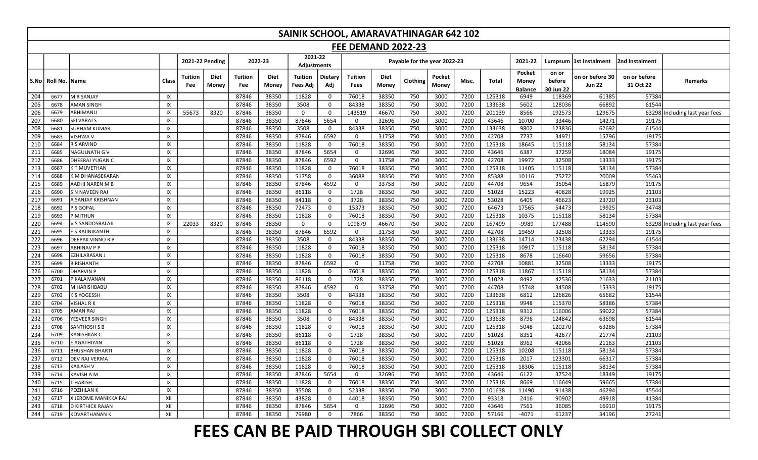|                  |                 | SAINIK SCHOOL, AMARAVATHINAGAR 642 102 |       |                       |                 |                       |                      |                        |                |                           |               |                              |                 |       |        |                                   |                              |                                  |                           |                          |
|------------------|-----------------|----------------------------------------|-------|-----------------------|-----------------|-----------------------|----------------------|------------------------|----------------|---------------------------|---------------|------------------------------|-----------------|-------|--------|-----------------------------------|------------------------------|----------------------------------|---------------------------|--------------------------|
|                  |                 |                                        |       |                       |                 |                       |                      |                        |                | <b>FEE DEMAND 2022-23</b> |               |                              |                 |       |        |                                   |                              |                                  |                           |                          |
|                  |                 |                                        |       |                       | 2021-22 Pending |                       | 2022-23              | 2021-22<br>Adjustments |                |                           |               | Payable for the year 2022-23 |                 |       |        | 2021-22                           |                              | Lumpsum  1st Instalment          | 2nd Instalment            |                          |
|                  | S.No   Roll No. | <b>IName</b>                           | Class | <b>Tuition</b><br>Fee | Diet<br>Money   | <b>Tuition</b><br>Fee | <b>Diet</b><br>Money | Tuition<br>Fees Adj    | Dietary<br>Adj | Tuition<br>Fees           | Diet<br>Money | Clothing                     | Pocket<br>Money | Misc. | Total  | Pocket<br>Money<br><b>Balance</b> | on or<br>before<br>30 Jun 22 | on or before 30<br><b>Jun 22</b> | on or before<br>31 Oct 22 | <b>Remarks</b>           |
| 204              | 6677            | M R SANJAY                             | IX    |                       |                 | 87846                 | 38350                | 11828                  | $\mathbf 0$    | 76018                     | 38350         | 750                          | 3000            | 7200  | 125318 | 6949                              | 118369                       | 61385                            | 57384                     |                          |
| 205              | 6678            | <b>AMAN SINGH</b>                      | IX    |                       |                 | 87846                 | 38350                | 3508                   | $\mathbf{0}$   | 84338                     | 38350         | 750                          | 3000            | 7200  | 133638 | 5602                              | 128036                       | 66892                            | 61544                     |                          |
| 206              | 6679            | ABHIMANU                               | IX    | 55673                 | 8320            | 87846                 | 38350                | $\mathbf 0$            | $\mathbf 0$    | 143519                    | 46670         | 750                          | 3000            | 7200  | 201139 | 8566                              | 192573                       | 129675                           | 63298                     | Including last year fees |
| 207              | 6680            | <b>SELVARAJ S</b>                      | IX    |                       |                 | 87846                 | 38350                | 87846                  | 5654           | $\mathbf 0$               | 32696         | 750                          | 3000            | 7200  | 43646  | 10700                             | 33446                        | 14271                            | 19175                     |                          |
| 208              | 6681            | <b>SUBHAM KUMAR</b>                    | IX    |                       |                 | 87846                 | 38350                | 3508                   | $\mathbf 0$    | 84338                     | 38350         | 750                          | 3000            | 7200  | 133638 | 9802                              | 123836                       | 62692                            | 61544                     |                          |
| 209              | 6683            | VISHWA V                               | IX    |                       |                 | 87846                 | 38350                | 87846                  | 6592           | $\mathbf{0}$              | 31758         | 750                          | 3000            | 7200  | 42708  | 7737                              | 34971                        | 15796                            | 19175                     |                          |
| 210              | 6684            | R S ARVIND                             | IX    |                       |                 | 87846                 | 38350                | 11828                  | $\mathbf 0$    | 76018                     | 38350         | 750                          | 3000            | 7200  | 125318 | 18645                             | 115118                       | 58134                            | 57384                     |                          |
| 211              | 6685            | NAGULNATH G V                          | IX    |                       |                 | 87846                 | 38350                | 87846                  | 5654           | $\mathbf 0$               | 32696         | 750                          | 3000            | 7200  | 43646  | 6387                              | 37259                        | 18084                            | 19175                     |                          |
| 212              | 6686            | DHEERAJ YUGAN C                        | IX    |                       |                 | 87846                 | 38350                | 87846                  | 6592           | $\mathbf{0}$              | 31758         | 750                          | 3000            | 7200  | 42708  | 19972                             | 32508                        | 13333                            | 19175                     |                          |
| 213              | 6687            | <b>KT MUVETHAN</b>                     | IX    |                       |                 | 87846                 | 38350                | 11828                  | $\mathbf 0$    | 76018                     | 38350         | 750                          | 3000            | 7200  | 125318 | 11405                             | 115118                       | 58134                            | 57384                     |                          |
| 214              | 6688            | K M DHANASEKARAN                       | IX    |                       |                 | 87846                 | 38350                | 51758                  | $\mathbf 0$    | 36088                     | 38350         | 750                          | 3000            | 7200  | 85388  | 10116                             | 75272                        | 20009                            | 55463                     |                          |
| 215              | 6689            | AADHI NAREN M B                        | IX    |                       |                 | 87846                 | 38350                | 87846                  | 4592           | 0                         | 33758         | 750                          | 3000            | 7200  | 44708  | 9654                              | 35054                        | 15879                            | 19175                     |                          |
| 216              | 6690            | <b>S N NAVEEN RAJ</b>                  | IX    |                       |                 | 87846                 | 38350                | 86118                  | $\mathbf 0$    | 1728                      | 38350         | 750                          | 3000            | 7200  | 51028  | 15223                             | 40828                        | 19925                            | 21103                     |                          |
| 217              | 6691            | A SANJAY KRISHNAN                      | IX    |                       |                 | 87846                 | 38350                | 84118                  | $\mathbf 0$    | 3728                      | 38350         | 750                          | 3000            | 7200  | 53028  | 6405                              | 46623                        | 23720                            | 23103                     |                          |
| 218              | 6692            | P S GOPAL                              | IX    |                       |                 | 87846                 | 38350                | 72473                  | $\mathbf{0}$   | 15373                     | 38350         | 750                          | 3000            | 7200  | 64673  | 17565                             | 54473                        | 19925                            | 34748                     |                          |
| 219              | 6693            | P MITHUN                               | IX    |                       |                 | 87846                 | 38350                | 11828                  | $\mathbf 0$    | 76018                     | 38350         | 750                          | 3000            | 7200  | 125318 | 10375                             | 115118                       | 58134                            | 57384                     |                          |
| 220              | 6694            | V S SANDOSBALAJI                       | IX    | 22033                 | 8320            | 87846                 | 38350                | $\mathbf 0$            | $\mathbf 0$    | 109879                    | 46670         | 750                          | 3000            | 7200  | 167499 | -9989                             | 177488                       | 114590                           | 63298                     | Including last year fees |
| 221              | 6695            | E S RAJINIKANTH                        | IX    |                       |                 | 87846                 | 38350                | 87846                  | 6592           | $\mathbf 0$               | 31758         | 750                          | 3000            | 7200  | 42708  | 19459                             | 32508                        | 13333                            | 19175                     |                          |
| 222              | 6696            | DEEPAK VINNO R P                       | IX    |                       |                 | 87846                 | 38350                | 3508                   | $\mathbf{0}$   | 84338                     | 38350         | 750                          | 3000            | 7200  | 133638 | 14714                             | 123438                       | 62294                            | 61544                     |                          |
| 223              | 6697            | <b>ABHINAV P P</b>                     | IX    |                       |                 | 87846                 | 38350                | 11828                  | $\mathsf{O}$   | 76018                     | 38350         | 750                          | 3000            | 7200  | 125318 | 10917                             | 115118                       | 58134                            | 57384                     |                          |
| 224              | 6698            | EZHILARASAN.                           | IX    |                       |                 | 87846                 | 38350                | 11828                  | $\mathsf{o}$   | 76018                     | 38350         | 750                          | 3000            | 7200  | 125318 | 8678                              | 116640                       | 59656                            | 57384                     |                          |
| 225              | 6699            | <b>B RISHANTH</b>                      | IX    |                       |                 | 87846                 | 38350                | 87846                  | 6592           | $\mathbf 0$               | 31758         | 750                          | 3000            | 7200  | 42708  | 10881                             | 32508                        | 13333                            | 19175                     |                          |
| 226              | 6700            | <b>DHARVIN P</b>                       | IX    |                       |                 | 87846                 | 38350                | 11828                  | $\mathbf 0$    | 76018                     | 38350         | 750                          | 3000            | 7200  | 125318 | 11867                             | 115118                       | 58134                            | 57384                     |                          |
| 227              | 6701            | P KALAIVANAN                           | IX    |                       |                 | 87846                 | 38350                | 86118                  | $\mathbf 0$    | 1728                      | 38350         | 750                          | 3000            | 7200  | 51028  | 8492                              | 42536                        | 21633                            | 21103                     |                          |
| 228              | 6702            | M HARISHBABU                           | IX    |                       |                 | 87846                 | 38350                | 87846                  | 4592           | $\Omega$                  | 33758         | 750                          | 3000            | 7200  | 44708  | 15748                             | 34508                        | 15333                            | 19175                     |                          |
| 229              | 6703            | K S YOGESSH                            | IX    |                       |                 | 87846                 | 38350                | 3508                   | $\mathsf{O}$   | 84338                     | 38350         | 750                          | 3000            | 7200  | 133638 | 6812                              | 126826                       | 65682                            | 61544                     |                          |
| 230              | 6704            | <b>VISHAL RK</b>                       | IX    |                       |                 | 87846                 | 38350                | 11828                  | $\mathbf 0$    | 76018                     | 38350         | 750                          | 3000            | 7200  | 125318 | 9948                              | 115370                       | 58386                            | 57384                     |                          |
| 231              | 6705            | AMAN RAJ                               | IX    |                       |                 | 87846                 | 38350                | 11828                  | $\mathbf{0}$   | 76018                     | 38350         | 750                          | 3000            | 7200  | 125318 | 9312                              | 116006                       | 59022                            | 57384                     |                          |
| 232              | 6706            | YESVEER SINGH                          | IX    |                       |                 | 87846                 | 38350                | 3508                   | $\mathbf 0$    | 84338                     | 38350         | 750                          | 3000            | 7200  | 133638 | 8796                              | 124842                       | 63698                            | 61544                     |                          |
| 233              | 6708            | <b>SANTHOSH S B</b>                    | IX    |                       |                 | 87846                 | 38350                | 11828                  | $\mathbf 0$    | 76018                     | 38350         | 750                          | 3000            | 7200  | 125318 | 5048                              | 120270                       | 63286                            | 57384                     |                          |
| 234              | 6709            | <b>KANISHKAR C</b>                     | IX    |                       |                 | 87846                 | 38350                | 86118                  | $\mathbf 0$    | 1728                      | 38350         | 750                          | 3000            | 7200  | 51028  | 8351                              | 42677                        | 21774                            | 21103                     |                          |
| $\overline{235}$ | 6710            | E AGATHIYAN                            | IX    |                       |                 | 87846                 | 38350                | 86118                  | $\mathbf{0}$   | 1728                      | 38350         | 750                          | 3000            | 7200  | 51028  | 8962                              | 42066                        | 21163                            | 21103                     |                          |
| 236              | 6711            | <b>BHUSHAN BHART</b>                   | IX    |                       |                 | 87846                 | 38350                | 11828                  | $\mathbf 0$    | 76018                     | 38350         | 750                          | 3000            | 7200  | 125318 | 10208                             | 115118                       | 58134                            | 57384                     |                          |
| 237              | 6712            | DEV RAJ VERMA                          | IX    |                       |                 | 87846                 | 38350                | 11828                  | $\mathsf{O}$   | 76018                     | 38350         | 750                          | 3000            | 7200  | 125318 | 2017                              | 123301                       | 66317                            | 57384                     |                          |
| 238              | 6713            | <b>KAILASH V</b>                       | IX    |                       |                 | 87846                 | 38350                | 11828                  | $\mathbf{0}$   | 76018                     | 38350         | 750                          | 3000            | 7200  | 125318 | 18306                             | 115118                       | 58134                            | 57384                     |                          |
| 239              | 6714            | KAVISH A M                             | IX    |                       |                 | 87846                 | 38350                | 87846                  | 5654           | $\mathbf 0$               | 32696         | 750                          | 3000            | 7200  | 43646  | 6122                              | 37524                        | 18349                            | 19175                     |                          |
| 240              | 6715            | T HARISH                               | IX    |                       |                 | 87846                 | 38350                | 11828                  | $\mathbf 0$    | 76018                     | 38350         | 750                          | 3000            | 7200  | 125318 | 8669                              | 116649                       | 59665                            | 57384                     |                          |
| 241              | 6716            | POZHILAN K                             | IX    |                       |                 | 87846                 | 38350                | 35508                  | $\mathbf 0$    | 52338                     | 38350         | 750                          | 3000            | 7200  | 101638 | 11490                             | 91438                        | 46294                            | 45544                     |                          |
| 242              | 6717            | X JEROME MANIKKA RAJ                   | XII   |                       |                 | 87846                 | 38350                | 43828                  | $\mathbf 0$    | 44018                     | 38350         | 750                          | 3000            | 7200  | 93318  | 2416                              | 90902                        | 49918                            | 41384                     |                          |
| 243              | 6718            | <b>D KIRTHICK RAJAN</b>                | XII   |                       |                 | 87846                 | 38350                | 87846                  | 5654           | $\mathbf 0$               | 32696         | 750                          | 3000            | 7200  | 43646  | 7561                              | 36085                        | 16910                            | 19175                     |                          |
| 244              | 6719            | <b>KOVARTHANAN K</b>                   | XII   |                       |                 | 87846                 | 38350                | 79980                  | $\Omega$       | 7866                      | 38350         | 750                          | 3000            | 7200  | 57166  | $-4071$                           | 61237                        | 34196                            | 27241                     |                          |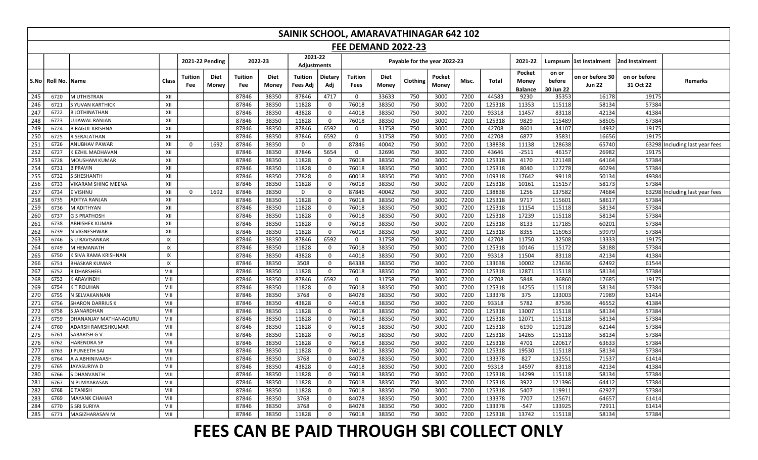|            | SAINIK SCHOOL, AMARAVATHINAGAR 642 102<br><b>FEE DEMAND 2022-23</b>                                                                                                                                                                                                                                                                                                                                                                                                                                                                  |                                        |            |                |               |                       |                      |                            |                |                            |                |            |                 |              |                |                 |                 |                                  |                           |                          |
|------------|--------------------------------------------------------------------------------------------------------------------------------------------------------------------------------------------------------------------------------------------------------------------------------------------------------------------------------------------------------------------------------------------------------------------------------------------------------------------------------------------------------------------------------------|----------------------------------------|------------|----------------|---------------|-----------------------|----------------------|----------------------------|----------------|----------------------------|----------------|------------|-----------------|--------------|----------------|-----------------|-----------------|----------------------------------|---------------------------|--------------------------|
|            | 2021-22<br>2021-22 Pending<br>2022-23<br>Payable for the year 2022-23<br>Lumpsum 1st Instalment                                                                                                                                                                                                                                                                                                                                                                                                                                      |                                        |            |                |               |                       |                      |                            |                |                            |                |            |                 |              |                |                 |                 |                                  |                           |                          |
|            |                                                                                                                                                                                                                                                                                                                                                                                                                                                                                                                                      |                                        |            |                |               |                       |                      | <b>Adjustments</b>         |                |                            |                |            |                 |              |                | 2021-22         |                 |                                  | 2nd Instalment            |                          |
| S.No       | Roll No. Name                                                                                                                                                                                                                                                                                                                                                                                                                                                                                                                        |                                        | Class      | Tuition<br>Fee | Diet<br>Money | <b>Tuition</b><br>Fee | <b>Diet</b><br>Money | <b>Tuition</b><br>Fees Adj | Dietary<br>Adj | Tuition<br><b>Fees</b>     | Diet<br>Money  | Clothing   | Pocket<br>Money | Misc.        | Total          | Pocket<br>Money | on or<br>before | on or before 30<br><b>Jun 22</b> | on or before<br>31 Oct 22 | Remarks                  |
|            |                                                                                                                                                                                                                                                                                                                                                                                                                                                                                                                                      |                                        |            |                |               |                       |                      |                            |                |                            |                |            |                 |              |                | <b>Balance</b>  | 30 Jun 22       |                                  |                           |                          |
| 245        | 6720                                                                                                                                                                                                                                                                                                                                                                                                                                                                                                                                 | M UTHISTRAN                            | XII        |                |               | 87846                 | 38350                | 87846                      | 4717           | $\mathbf 0$                | 33633          | 750        | 3000            | 7200         | 44583          | 9230            | 35353           | 16178                            | 19175                     |                          |
| 246        | 6721                                                                                                                                                                                                                                                                                                                                                                                                                                                                                                                                 | S YUVAN KARTHICK                       | XII        |                |               | 87846                 | 38350                | 11828                      | $\mathbf 0$    | 76018                      | 38350          | 750        | 3000            | 7200         | 125318         | 11353           | 115118          | 58134                            | 57384                     |                          |
| 247        | 6722                                                                                                                                                                                                                                                                                                                                                                                                                                                                                                                                 | <b>B JOTHINATHAN</b>                   | XII<br>XII |                |               | 87846                 | 38350                | 43828                      | $\mathbf 0$    | 44018                      | 38350          | 750        | 3000            | 7200         | 93318          | 11457           | 83118           | 42134                            | 41384                     |                          |
| 248        | 6723<br>6724                                                                                                                                                                                                                                                                                                                                                                                                                                                                                                                         | UJJAWAL RANJAN                         | XII        |                |               | 87846                 | 38350                | 11828                      | $\mathbf{0}$   | 76018                      | 38350          | 750        | 3000            | 7200         | 125318         | 9829            | 115489          | 58505                            | 57384                     |                          |
| 249<br>250 | 6725                                                                                                                                                                                                                                                                                                                                                                                                                                                                                                                                 | <b>B RAGUL KRISHNA</b><br>R SERALATHAN | XII        |                |               | 87846<br>87846        | 38350<br>38350       | 87846<br>87846             | 6592<br>6592   | $\mathbf 0$<br>$\mathbf 0$ | 31758<br>31758 | 750<br>750 | 3000            | 7200<br>7200 | 42708<br>42708 | 8601<br>6877    | 34107<br>35831  | 14932<br>16656                   | 19175<br>19175            |                          |
| 251        | 6726                                                                                                                                                                                                                                                                                                                                                                                                                                                                                                                                 |                                        | XII        |                |               |                       |                      |                            |                | 87846                      |                |            | 3000            |              |                |                 |                 | 65740                            |                           |                          |
|            | 7200<br>138838<br>ANUBHAV PAWAR<br>1692<br>87846<br>38350<br>$\mathbf 0$<br>40042<br>750<br>3000<br>11138<br>128638<br>63298 Including last year fees<br>0<br>$\mathbf 0$<br>252<br>5654<br>7200<br>87846<br>38350<br>87846<br>32696<br>750<br>3000<br>43646<br>$-2511$<br>46157<br>26982<br>19175<br>6727<br>K EZHIL MADHAVAN<br>XII<br>$\mathbf 0$<br>253<br>38350<br>11828<br>76018<br>38350<br>7200<br>125318<br>4170<br>121148<br>64164<br>6728<br>XII<br>87846<br>$\mathsf{O}$<br>750<br>3000<br>57384<br><b>MOUSHAM KUMAR</b> |                                        |            |                |               |                       |                      |                            |                |                            |                |            |                 |              |                |                 |                 |                                  |                           |                          |
|            |                                                                                                                                                                                                                                                                                                                                                                                                                                                                                                                                      |                                        |            |                |               |                       |                      |                            |                |                            |                |            |                 |              |                |                 |                 |                                  |                           |                          |
| 254        | 11828<br>38350<br>3000<br>7200<br>125318<br>8040<br>117278<br>60294<br><b>B PRAVIN</b><br>XII<br>87846<br>38350<br>$\mathsf{O}$<br>76018<br>750<br>57384<br>6731                                                                                                                                                                                                                                                                                                                                                                     |                                        |            |                |               |                       |                      |                            |                |                            |                |            |                 |              |                |                 |                 |                                  |                           |                          |
| 255        | XII<br>87846<br>38350<br>27828<br>38350<br>750<br>3000<br>7200<br>109318<br>17642<br>99118<br>50134<br>49384<br>6732<br>S SHESHANTH<br>$\mathsf{O}$<br>60018                                                                                                                                                                                                                                                                                                                                                                         |                                        |            |                |               |                       |                      |                            |                |                            |                |            |                 |              |                |                 |                 |                                  |                           |                          |
| 256        | 6733                                                                                                                                                                                                                                                                                                                                                                                                                                                                                                                                 | <b>VIKARAM SHING MEENA</b>             | XII        |                |               | 87846                 | 38350                | 11828                      | $\mathbf 0$    | 76018                      | 38350          | 750        | 3000            | 7200         | 125318         | 10161           | 115157          | 58173                            | 57384                     |                          |
| 257        | 6734                                                                                                                                                                                                                                                                                                                                                                                                                                                                                                                                 | E VISHNU                               | XII        | $\Omega$       | 1692          | 87846                 | 38350                | $\mathbf 0$                | $\mathbf 0$    | 87846                      | 40042          | 750        | 3000            | 7200         | 138838         | 1256            | 137582          | 74684                            | 63298                     | Including last year fees |
| 258        | 6735                                                                                                                                                                                                                                                                                                                                                                                                                                                                                                                                 | <b>ADITYA RANJAN</b>                   | XII        |                |               | 87846                 | 38350                | 11828                      | $\mathsf{O}$   | 76018                      | 38350          | 750        | 3000            | 7200         | 125318         | 9717            | 115601          | 58617                            | 57384                     |                          |
| 259        | 6736                                                                                                                                                                                                                                                                                                                                                                                                                                                                                                                                 | M ADITHYAN                             | XII        |                |               | 87846                 | 38350                | 11828                      | $\mathbf 0$    | 76018                      | 38350          | 750        | 3000            | 7200         | 125318         | 11154           | 115118          | 58134                            | 57384                     |                          |
| 260        | 6737                                                                                                                                                                                                                                                                                                                                                                                                                                                                                                                                 | <b>G S PRATHOSH</b>                    | XII        |                |               | 87846                 | 38350                | 11828                      | $\mathbf 0$    | 76018                      | 38350          | 750        | 3000            | 7200         | 125318         | 17239           | 115118          | 58134                            | 57384                     |                          |
| 261        | 6738                                                                                                                                                                                                                                                                                                                                                                                                                                                                                                                                 | <b>ABHISHEK KUMAR</b>                  | XII        |                |               | 87846                 | 38350                | 11828                      | $\mathbf{0}$   | 76018                      | 38350          | 750        | 3000            | 7200         | 125318         | 8133            | 117185          | 60201                            | 57384                     |                          |
| 262        | 6739                                                                                                                                                                                                                                                                                                                                                                                                                                                                                                                                 | N VIGNESHWAR                           | XII        |                |               | 87846                 | 38350                | 11828                      | $\mathbf 0$    | 76018                      | 38350          | 750        | 3000            | 7200         | 125318         | 8355            | 116963          | 59979                            | 57384                     |                          |
| 263        | 6746                                                                                                                                                                                                                                                                                                                                                                                                                                                                                                                                 | S U RAVISANKAR                         | IX         |                |               | 87846                 | 38350                | 87846                      | 6592           | $\mathbf 0$                | 31758          | 750        | 3000            | 7200         | 42708          | 11750           | 32508           | 13333                            | 19175                     |                          |
| 264        | 6749                                                                                                                                                                                                                                                                                                                                                                                                                                                                                                                                 | M HEMANATH                             | IX         |                |               | 87846                 | 38350                | 11828                      | $\mathbf 0$    | 76018                      | 38350          | 750        | 3000            | 7200         | 125318         | 10146           | 115172          | 58188                            | 57384                     |                          |
| 265        | 6750                                                                                                                                                                                                                                                                                                                                                                                                                                                                                                                                 | K SIVA RAMA KRISHNAN                   | IX         |                |               | 87846                 | 38350                | 43828                      | $\mathbf 0$    | 44018                      | 38350          | 750        | 3000            | 7200         | 93318          | 11504           | 83118           | 42134                            | 41384                     |                          |
| 266        | 6751                                                                                                                                                                                                                                                                                                                                                                                                                                                                                                                                 | <b>BHASKAR KUMAR</b>                   | IX         |                |               | 87846                 | 38350                | 3508                       | $\mathbf 0$    | 84338                      | 38350          | 750        | 3000            | 7200         | 133638         | 10002           | 123636          | 62492                            | 61544                     |                          |
| 267        | 6752                                                                                                                                                                                                                                                                                                                                                                                                                                                                                                                                 | R DHARSHEEL                            | VIII       |                |               | 87846                 | 38350                | 11828                      | $\mathbf 0$    | 76018                      | 38350          | 750        | 3000            | 7200         | 125318         | 12871           | 115118          | 58134                            | 57384                     |                          |
| 268        | 6753                                                                                                                                                                                                                                                                                                                                                                                                                                                                                                                                 | K ARAVINDH                             | VIII       |                |               | 87846                 | 38350                | 87846                      | 6592           | $\mathbf 0$                | 31758          | 750        | 3000            | 7200         | 42708          | 5848            | 36860           | 17685                            | 19175                     |                          |
| 269        | 6754                                                                                                                                                                                                                                                                                                                                                                                                                                                                                                                                 | K T ROUHAN                             | VIII       |                |               | 87846                 | 38350                | 11828                      | $\mathbf 0$    | 76018                      | 38350          | 750        | 3000            | 7200         | 125318         | 14255           | 115118          | 58134                            | 57384                     |                          |
| 270        | 6755                                                                                                                                                                                                                                                                                                                                                                                                                                                                                                                                 | N SELVAKANNAN                          | VIII       |                |               | 87846                 | 38350                | 3768                       | $\mathbf 0$    | 84078                      | 38350          | 750        | 3000            | 7200         | 133378         | 375             | 133003          | 71989                            | 61414                     |                          |
| 271        | 6756                                                                                                                                                                                                                                                                                                                                                                                                                                                                                                                                 | <b>SHARON DARRIUS K</b>                | VIII       |                |               | 87846                 | 38350                | 43828                      | $\mathbf 0$    | 44018                      | 38350          | 750        | 3000            | 7200         | 93318          | 5782            | 87536           | 46552                            | 41384                     |                          |
| 272        | 6758                                                                                                                                                                                                                                                                                                                                                                                                                                                                                                                                 | S JANARDHAN                            | VIII       |                |               | 87846                 | 38350                | 11828                      | $\mathbf 0$    | 76018                      | 38350          | 750        | 3000            | 7200         | 125318         | 13007           | 115118          | 58134                            | 57384                     |                          |
| 273        | 6759                                                                                                                                                                                                                                                                                                                                                                                                                                                                                                                                 | DHANANJAY MATHANAGURU                  | VIII       |                |               | 87846                 | 38350                | 11828                      | $\mathbf 0$    | 76018                      | 38350          | 750        | 3000            | 7200         | 125318         | 12071           | 115118          | 58134                            | 57384                     |                          |
| 274        | 6760                                                                                                                                                                                                                                                                                                                                                                                                                                                                                                                                 | ADARSH RAMESHKUMAR                     | VIII       |                |               | 87846                 | 38350                | 11828                      | $\mathbf 0$    | 76018                      | 38350          | 750        | 3000            | 7200         | 125318         | 6190            | 119128          | 62144                            | 57384                     |                          |
| 275        | 6761                                                                                                                                                                                                                                                                                                                                                                                                                                                                                                                                 | SABARISH G V                           | VIII       |                |               | 87846                 | 38350                | 11828                      | $\mathbf 0$    | 76018                      | 38350          | 750        | 3000            | 7200         | 125318         | 14265           | 115118          | 58134                            | 57384                     |                          |
| 276        | 6762                                                                                                                                                                                                                                                                                                                                                                                                                                                                                                                                 | <b>HARENDRA SP</b>                     | VIII       |                |               | 87846                 | 38350                | 11828                      | $\mathbf 0$    | 76018                      | 38350          | 750        | 3000            | 7200         | 125318         | 4701            | 120617          | 63633                            | 57384                     |                          |
| 277        | 6763                                                                                                                                                                                                                                                                                                                                                                                                                                                                                                                                 | J PUNEETH SAI                          | VIII       |                |               | 87846                 | 38350                | 11828                      | $\mathbf 0$    | 76018                      | 38350          | 750        | 3000            | 7200         | 125318         | 19530           | 115118          | 58134                            | 57384                     |                          |
| 278        | 6764                                                                                                                                                                                                                                                                                                                                                                                                                                                                                                                                 | A A ABHINIVAASH                        | VIII       |                |               | 87846                 | 38350                | 3768                       | $\mathsf{O}$   | 84078                      | 38350          | 750        | 3000            | 7200         | 133378         | 827             | 132551          | 71537                            | 61414                     |                          |
| 279        | 6765                                                                                                                                                                                                                                                                                                                                                                                                                                                                                                                                 | JAYASURIYA D                           | VIII       |                |               | 87846                 | 38350                | 43828                      | $\mathbf 0$    | 44018                      | 38350          | 750        | 3000            | 7200         | 93318          | 14597           | 83118           | 42134                            | 41384                     |                          |
| 280        | 6766                                                                                                                                                                                                                                                                                                                                                                                                                                                                                                                                 | S DHANVANTH                            | VIII       |                |               | 87846                 | 38350                | 11828                      | $\mathbf 0$    | 76018                      | 38350          | 750        | 3000            | 7200         | 125318         | 14299           | 115118          | 58134                            | 57384                     |                          |
| 281        | 6767                                                                                                                                                                                                                                                                                                                                                                                                                                                                                                                                 | N PUVIYARASAN                          | VIII       |                |               | 87846                 | 38350                | 11828                      | $\mathbf 0$    | 76018                      | 38350          | 750        | 3000            | 7200         | 125318         | 3922            | 121396          | 64412                            | 57384                     |                          |
| 282        | 6768                                                                                                                                                                                                                                                                                                                                                                                                                                                                                                                                 | E TANISH                               | VIII       |                |               | 87846                 | 38350                | 11828                      | $\mathbf 0$    | 76018                      | 38350          | 750        | 3000            | 7200         | 125318         | 5407            | 119911          | 62927                            | 57384                     |                          |
| 283        | 6769                                                                                                                                                                                                                                                                                                                                                                                                                                                                                                                                 | <b>MAYANK CHAHAR</b>                   | VIII       |                |               | 87846                 | 38350                | 3768                       | $\mathbf 0$    | 84078                      | 38350          | 750        | 3000            | 7200         | 133378         | 7707            | 125671          | 64657                            | 61414                     |                          |
| 284        | 6770                                                                                                                                                                                                                                                                                                                                                                                                                                                                                                                                 | S SRI SURIYA                           | VIII       |                |               | 87846                 | 38350                | 3768                       | $\mathbf 0$    | 84078                      | 38350          | 750        | 3000            | 7200         | 133378         | $-547$          | 133925          | 72911                            | 61414                     |                          |
| 285        | 6771                                                                                                                                                                                                                                                                                                                                                                                                                                                                                                                                 | MAGIZHARASAN M                         | VIII       |                |               | 87846                 | 38350                | 11828                      | $\Omega$       | 76018                      | 38350          | 750        | 3000            | 7200         | 125318         | 13742           | 115118          | 58134                            | 57384                     |                          |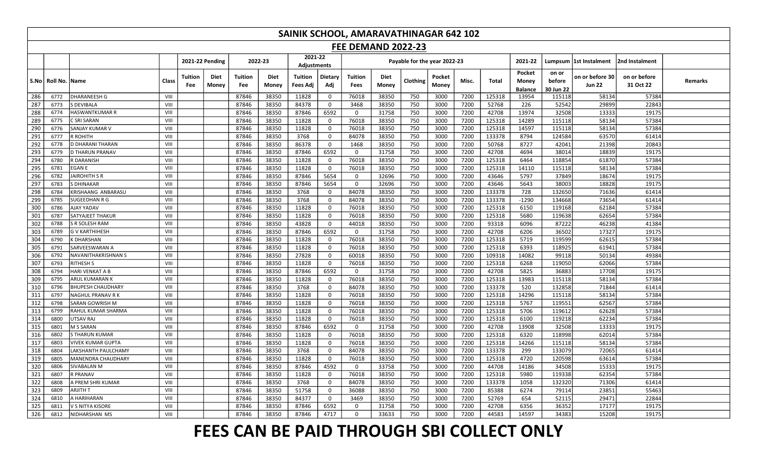|     | SAINIK SCHOOL, AMARAVATHINAGAR 642 102<br><b>FEE DEMAND 2022-23</b> |                           |       |                                        |                       |               |                               |                |                 |               |                              |                 |       |        |                                   |                              |                                  |                           |         |
|-----|---------------------------------------------------------------------|---------------------------|-------|----------------------------------------|-----------------------|---------------|-------------------------------|----------------|-----------------|---------------|------------------------------|-----------------|-------|--------|-----------------------------------|------------------------------|----------------------------------|---------------------------|---------|
|     |                                                                     |                           |       |                                        |                       |               |                               |                |                 |               |                              |                 |       |        |                                   |                              |                                  |                           |         |
|     |                                                                     |                           |       | 2021-22 Pending                        |                       | 2022-23       | 2021-22<br><b>Adjustments</b> |                |                 |               | Payable for the year 2022-23 |                 |       |        | 2021-22                           |                              | Lumpsum  1st Instalment          | 2nd Instalment            |         |
|     | S.No   Roll No.  Name                                               |                           | Class | <b>Diet</b><br>Tuition<br>Money<br>Fee | <b>Tuition</b><br>Fee | Diet<br>Money | Tuition<br>Fees Adj           | Dietary<br>Adj | Tuition<br>Fees | Diet<br>Money | Clothing                     | Pocket<br>Money | Misc. | Total  | Pocket<br>Money<br><b>Balance</b> | on or<br>before<br>30 Jun 22 | on or before 30<br><b>Jun 22</b> | on or before<br>31 Oct 22 | Remarks |
| 286 | 6772                                                                | <b>DHARANEESH G</b>       | VIII  |                                        | 87846                 | 38350         | 11828                         | $\mathbf 0$    | 76018           | 38350         | 750                          | 3000            | 7200  | 125318 | 13954                             | 115118                       | 58134                            | 57384                     |         |
| 287 | 6773                                                                | <b>S DEVIBALA</b>         | VIII  |                                        | 87846                 | 38350         | 84378                         | $\mathbf 0$    | 3468            | 38350         | 750                          | 3000            | 7200  | 52768  | 226                               | 52542                        | 29899                            | 22843                     |         |
| 288 | 6774                                                                | <b>HASWANTKUMAR R</b>     | VIII  |                                        | 87846                 | 38350         | 87846                         | 6592           | $\mathbf 0$     | 31758         | 750                          | 3000            | 7200  | 42708  | 13974                             | 32508                        | 13333                            | 19175                     |         |
| 289 | 6775                                                                | C SRI SARAN               | VIII  |                                        | 87846                 | 38350         | 11828                         | $\mathbf 0$    | 76018           | 38350         | 750                          | 3000            | 7200  | 125318 | 14289                             | 115118                       | 58134                            | 57384                     |         |
| 290 | 6776                                                                | SANJAY KUMAR V            | VIII  |                                        | 87846                 | 38350         | 11828                         | $\mathbf 0$    | 76018           | 38350         | 750                          | 3000            | 7200  | 125318 | 14597                             | 115118                       | 58134                            | 57384                     |         |
| 291 | 6777                                                                | R ROHITH                  | VIII  |                                        | 87846                 | 38350         | 3768                          | $\mathbf 0$    | 84078           | 38350         | 750                          | 3000            | 7200  | 133378 | 8794                              | 124584                       | 63570                            | 61414                     |         |
| 292 | 6778                                                                | <b>D DHARANI THARAN</b>   | VIII  |                                        | 87846                 | 38350         | 86378                         | $\mathbf 0$    | 1468            | 38350         | 750                          | 3000            | 7200  | 50768  | 8727                              | 42041                        | 21398                            | 20843                     |         |
| 293 | 6779                                                                | <b>D THARUN PRANAV</b>    | VIII  |                                        | 87846                 | 38350         | 87846                         | 6592           | $\mathbf 0$     | 31758         | 750                          | 3000            | 7200  | 42708  | 4694                              | 38014                        | 18839                            | 19175                     |         |
| 294 | 6780                                                                | R DARANISH                | VIII  |                                        | 87846                 | 38350         | 11828                         | $\mathbf 0$    | 76018           | 38350         | 750                          | 3000            | 7200  | 125318 | 6464                              | 118854                       | 61870                            | 57384                     |         |
| 295 | 6781                                                                | <b>EGAN E</b>             | VIII  |                                        | 87846                 | 38350         | 11828                         | $\mathbf 0$    | 76018           | 38350         | 750                          | 3000            | 7200  | 125318 | 14110                             | 115118                       | 58134                            | 57384                     |         |
| 296 | 6782                                                                | <b>JAIROHITH S R</b>      | VIII  |                                        | 87846                 | 38350         | 87846                         | 5654           | $\mathbf{0}$    | 32696         | 750                          | 3000            | 7200  | 43646  | 5797                              | 37849                        | 18674                            | 19175                     |         |
| 297 | 6783                                                                | <b>S DHINAKAR</b>         | VIII  |                                        | 87846                 | 38350         | 87846                         | 5654           | $\mathbf 0$     | 32696         | 750                          | 3000            | 7200  | 43646  | 5643                              | 38003                        | 18828                            | 19175                     |         |
| 298 | 6784                                                                | KRISHAANG ANBARASU        | VIII  |                                        | 87846                 | 38350         | 3768                          | $\mathbf 0$    | 84078           | 38350         | 750                          | 3000            | 7200  | 133378 | 728                               | 132650                       | 71636                            | 61414                     |         |
| 299 | 6785                                                                | <b>SUGEEDHAN R G</b>      | VIII  |                                        | 87846                 | 38350         | 3768                          | $\mathbf 0$    | 84078           | 38350         | 750                          | 3000            | 7200  | 133378 | $-1290$                           | 134668                       | 73654                            | 61414                     |         |
| 300 | 6786                                                                | AJAY YADAV                | VIII  |                                        | 87846                 | 38350         | 11828                         | $\mathbf 0$    | 76018           | 38350         | 750                          | 3000            | 7200  | 125318 | 6150                              | 119168                       | 62184                            | 57384                     |         |
| 301 | 6787                                                                | <b>SATYAJEET THAKUR</b>   | VIII  |                                        | 87846                 | 38350         | 11828                         | $\mathbf 0$    | 76018           | 38350         | 750                          | 3000            | 7200  | 125318 | 5680                              | 119638                       | 62654                            | 57384                     |         |
| 302 | 6788                                                                | S R SOLESH RAM            | VIII  |                                        | 87846                 | 38350         | 43828                         | $\mathsf{o}$   | 44018           | 38350         | 750                          | 3000            | 7200  | 93318  | 6096                              | 87222                        | 46238                            | 41384                     |         |
| 303 | 6789                                                                | <b>G V KARTHIHESH</b>     | VIII  |                                        | 87846                 | 38350         | 87846                         | 6592           | $\mathbf 0$     | 31758         | 750                          | 3000            | 7200  | 42708  | 6206                              | 36502                        | 17327                            | 19175                     |         |
| 304 | 6790                                                                | K DHARSHAN                | VIII  |                                        | 87846                 | 38350         | 11828                         | $\mathbf 0$    | 76018           | 38350         | 750                          | 3000            | 7200  | 125318 | 5719                              | 119599                       | 62615                            | 57384                     |         |
| 305 | 6791                                                                | SARVEESWARAN A            | VIII  |                                        | 87846                 | 38350         | 11828                         | $\mathbf 0$    | 76018           | 38350         | 750                          | 3000            | 7200  | 125318 | 6393                              | 118925                       | 61941                            | 57384                     |         |
| 306 | 6792                                                                | NAVANITHAKRISHNAN S       | VIII  |                                        | 87846                 | 38350         | 27828                         | $\mathsf{o}$   | 60018           | 38350         | 750                          | 3000            | 7200  | 109318 | 14082                             | 99118                        | 50134                            | 49384                     |         |
| 307 | 6793                                                                | <b>RITHESH S</b>          | VIII  |                                        | 87846                 | 38350         | 11828                         | $\overline{0}$ | 76018           | 38350         | 750                          | 3000            | 7200  | 125318 | 6268                              | 119050                       | 62066                            | 57384                     |         |
| 308 | 6794                                                                | HARI VENKAT A B           | VIII  |                                        | 87846                 | 38350         | 87846                         | 6592           | $\mathbf 0$     | 31758         | 750                          | 3000            | 7200  | 42708  | 5825                              | 36883                        | 17708                            | 19175                     |         |
| 309 | 6795                                                                | <b>ARUL KUMARAN K</b>     | VIII  |                                        | 87846                 | 38350         | 11828                         | $\mathbf 0$    | 76018           | 38350         | 750                          | 3000            | 7200  | 125318 | 13983                             | 115118                       | 58134                            | 57384                     |         |
| 310 | 6796                                                                | <b>BHUPESH CHAUDHARY</b>  | VIII  |                                        | 87846                 | 38350         | 3768                          | $\mathbf 0$    | 84078           | 38350         | 750                          | 3000            | 7200  | 133378 | 520                               | 132858                       | 71844                            | 61414                     |         |
| 311 | 6797                                                                | NAGHUL PRANAV R K         | VIII  |                                        | 87846                 | 38350         | 11828                         | $\mathbf 0$    | 76018           | 38350         | 750                          | 3000            | 7200  | 125318 | 14296                             | 115118                       | 58134                            | 57384                     |         |
| 312 | 6798                                                                | SARAN GOWRISH M           | VIII  |                                        | 87846                 | 38350         | 11828                         | $\mathbf 0$    | 76018           | 38350         | 750                          | 3000            | 7200  | 125318 | 5767                              | 119551                       | 62567                            | 57384                     |         |
| 313 | 6799                                                                | RAHUL KUMAR SHARMA        | VIII  |                                        | 87846                 | 38350         | 11828                         | $\mathbf 0$    | 76018           | 38350         | 750                          | 3000            | 7200  | 125318 | 5706                              | 119612                       | 62628                            | 57384                     |         |
| 314 | 6800                                                                | <b>UTSAV RAJ</b>          | VIII  |                                        | 87846                 | 38350         | 11828                         | $\mathbf 0$    | 76018           | 38350         | 750                          | 3000            | 7200  | 125318 | 6100                              | 119218                       | 62234                            | 57384                     |         |
| 315 | 6801                                                                | M S SARAN                 | VIII  |                                        | 87846                 | 38350         | 87846                         | 6592           | $\mathbf 0$     | 31758         | 750                          | 3000            | 7200  | 42708  | 13908                             | 32508                        | 13333                            | 19175                     |         |
| 316 | 6802                                                                | <b>S THARUN KUMAR</b>     | VIII  |                                        | 87846                 | 38350         | 11828                         | $\mathbf 0$    | 76018           | 38350         | 750                          | 3000            | 7200  | 125318 | 6320                              | 118998                       | 62014                            | 57384                     |         |
| 317 | 6803                                                                | <b>VIVEK KUMAR GUPTA</b>  | VIII  |                                        | 87846                 | 38350         | 11828                         | $\mathbf 0$    | 76018           | 38350         | 750                          | 3000            | 7200  | 125318 | 14266                             | 115118                       | 58134                            | 57384                     |         |
| 318 | 6804                                                                | LAKSHANTH PAULCHAMY       | VIII  |                                        | 87846                 | 38350         | 3768                          | $\mathbf 0$    | 84078           | 38350         | 750                          | 3000            | 7200  | 133378 | 299                               | 133079                       | 72065                            | 61414                     |         |
| 319 | 6805                                                                | <b>MANENDRA CHAUDHARY</b> | VIII  |                                        | 87846                 | 38350         | 11828                         | $\mathbf 0$    | 76018           | 38350         | 750                          | 3000            | 7200  | 125318 | 4720                              | 120598                       | 63614                            | 57384                     |         |
| 320 | 6806                                                                | SIVABALAN M               | VIII  |                                        | 87846                 | 38350         | 87846                         | 4592           | $\mathbf 0$     | 33758         | 750                          | 3000            | 7200  | 44708  | 14186                             | 34508                        | 15333                            | 19175                     |         |
| 321 | 6807                                                                | <b>R PRANAV</b>           | VIII  |                                        | 87846                 | 38350         | 11828                         | $\mathsf{o}$   | 76018           | 38350         | 750                          | 3000            | 7200  | 125318 | 5980                              | 119338                       | 62354                            | 57384                     |         |
| 322 | 6808                                                                | A PREM SHRI KUMAR         | VIII  |                                        | 87846                 | 38350         | 3768                          | $\mathbf 0$    | 84078           | 38350         | 750                          | 3000            | 7200  | 133378 | 1058                              | 132320                       | 71306                            | 61414                     |         |
| 323 | 6809                                                                | <b>ARJITH T</b>           | VIII  |                                        | 87846                 | 38350         | 51758                         | $\mathbf 0$    | 36088           | 38350         | 750                          | 3000            | 7200  | 85388  | 6274                              | 79114                        | 23851                            | 55463                     |         |
| 324 | 6810                                                                | A HARIHARAN               | VIII  |                                        | 87846                 | 38350         | 84377                         | $\mathsf{O}$   | 3469            | 38350         | 750                          | 3000            | 7200  | 52769  | 654                               | 52115                        | 29471                            | 22844                     |         |
| 325 | 6811                                                                | V S NITYA KISORE          | VIII  |                                        | 87846                 | 38350         | 87846                         | 6592           | $\mathbf 0$     | 31758         | 750                          | 3000            | 7200  | 42708  | 6356                              | 36352                        | 17177                            | 19175                     |         |
| 326 | 6812                                                                | NIDHARSHAN MS             | VIII  |                                        | 87846                 | 38350         | 87846                         | 4717           | $\Omega$        | 33633         | 750                          | 3000            | 7200  | 44583  | 14597                             | 34383                        | 15208                            | 19175                     |         |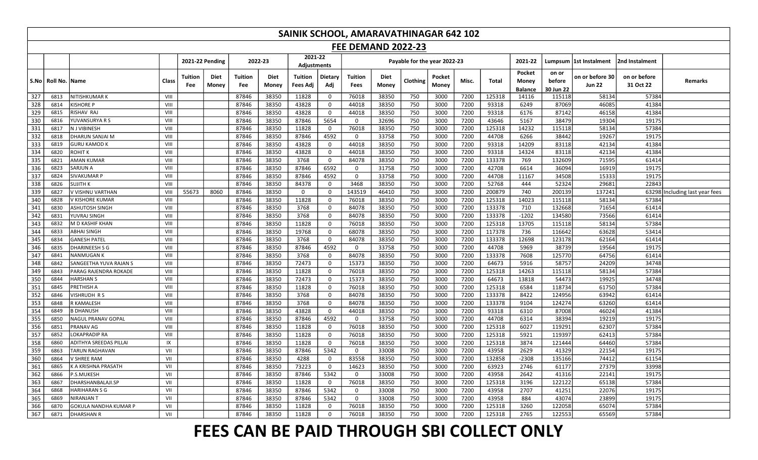|     | SAINIK SCHOOL, AMARAVATHINAGAR 642 102<br><b>FEE DEMAND 2022-23</b> |                               |       |                |                 |                |                      |                        |                |                 |               |                              |                 |       |        |                                   |                              |                                  |                           |                                |
|-----|---------------------------------------------------------------------|-------------------------------|-------|----------------|-----------------|----------------|----------------------|------------------------|----------------|-----------------|---------------|------------------------------|-----------------|-------|--------|-----------------------------------|------------------------------|----------------------------------|---------------------------|--------------------------------|
|     |                                                                     |                               |       |                |                 |                |                      |                        |                |                 |               |                              |                 |       |        |                                   |                              |                                  |                           |                                |
|     |                                                                     |                               |       |                | 2021-22 Pending | 2022-23        |                      | 2021-22<br>Adjustments |                |                 |               | Payable for the year 2022-23 |                 |       |        | 2021-22                           |                              | Lumpsum  1st Instalment          | 2nd Instalment            |                                |
|     | S.No   Roll No.                                                     | <b>Name</b>                   | Class | Tuition<br>Fee | Diet<br>Money   | Tuition<br>Fee | <b>Diet</b><br>Money | Tuition<br>Fees Adj    | Dietary<br>Adj | Tuition<br>Fees | Diet<br>Money | Clothing                     | Pocket<br>Money | Misc. | Total  | Pocket<br>Money<br><b>Balance</b> | on or<br>before<br>30 Jun 22 | on or before 30<br><b>Jun 22</b> | on or before<br>31 Oct 22 | Remarks                        |
| 327 | 6813                                                                | NITISHKUMAR K                 | VIII  |                |                 | 87846          | 38350                | 11828                  | $\mathbf 0$    | 76018           | 38350         | 750                          | 3000            | 7200  | 125318 | 14116                             | 115118                       | 58134                            | 57384                     |                                |
| 328 | 6814                                                                | <b>KISHORE P</b>              | VIII  |                |                 | 87846          | 38350                | 43828                  | $\mathbf 0$    | 44018           | 38350         | 750                          | 3000            | 7200  | 93318  | 6249                              | 87069                        | 46085                            | 41384                     |                                |
| 329 | 6815                                                                | RISHAV RAJ                    | VIII  |                |                 | 87846          | 38350                | 43828                  | $\mathbf 0$    | 44018           | 38350         | 750                          | 3000            | 7200  | 93318  | 6176                              | 87142                        | 46158                            | 41384                     |                                |
| 330 | 6816                                                                | YUVANSURYA R S                | VIII  |                |                 | 87846          | 38350                | 87846                  | 5654           | $\mathbf 0$     | 32696         | 750                          | 3000            | 7200  | 43646  | 5167                              | 38479                        | 19304                            | 19175                     |                                |
| 331 | 6817                                                                | N J VIBINESH                  | VIII  |                |                 | 87846          | 38350                | 11828                  | $\mathbf 0$    | 76018           | 38350         | 750                          | 3000            | 7200  | 125318 | 14232                             | 115118                       | 58134                            | 57384                     |                                |
| 332 | 6818                                                                | <b>DHARUN SANJAI M</b>        | VIII  |                |                 | 87846          | 38350                | 87846                  | 4592           | $\mathbf 0$     | 33758         | 750                          | 3000            | 7200  | 44708  | 6266                              | 38442                        | 19267                            | 19175                     |                                |
| 333 | 6819                                                                | <b>GURU KAMOD K</b>           | VIII  |                |                 | 87846          | 38350                | 43828                  | $\mathbf 0$    | 44018           | 38350         | 750                          | 3000            | 7200  | 93318  | 14209                             | 83118                        | 42134                            | 41384                     |                                |
| 334 | 6820                                                                | <b>ROHIT K</b>                | VIII  |                |                 | 87846          | 38350                | 43828                  | $\mathsf{o}$   | 44018           | 38350         | 750                          | 3000            | 7200  | 93318  | 14324                             | 83118                        | 42134                            | 41384                     |                                |
| 335 | 6821                                                                | <b>AMAN KUMAR</b>             | VIII  |                |                 | 87846          | 38350                | 3768                   | $\mathbf{0}$   | 84078           | 38350         | 750                          | 3000            | 7200  | 133378 | 769                               | 132609                       | 71595                            | 61414                     |                                |
| 336 | 6823                                                                | SARJUN A                      | VIII  |                |                 | 87846          | 38350                | 87846                  | 6592           | $\mathbf 0$     | 31758         | 750                          | 3000            | 7200  | 42708  | 6614                              | 36094                        | 16919                            | 19175                     |                                |
| 337 | 6824                                                                | SIVAKUMAR P                   | VIII  |                |                 | 87846          | 38350                | 87846                  | 4592           | 0               | 33758         | 750                          | 3000            | 7200  | 44708  | 11167                             | 34508                        | 15333                            | 19175                     |                                |
| 338 | 6826                                                                | SUJITH K                      | VIII  |                |                 | 87846          | 38350                | 84378                  | $\mathbf 0$    | 3468            | 38350         | 750                          | 3000            | 7200  | 52768  | 444                               | 52324                        | 29681                            | 22843                     |                                |
| 339 | 6827                                                                | V VISHNU VARTHAN              | VIII  | 55673          | 8060            | 87846          | 38350                | $\mathbf 0$            | $\mathbf 0$    | 143519          | 46410         | 750                          | 3000            | 7200  | 200879 | 740                               | 200139                       | 137241                           |                           | 63298 Including last year fees |
| 340 | 6828                                                                | V KISHORE KUMAR               | VIII  |                |                 | 87846          | 38350                | 11828                  | $\mathbf 0$    | 76018           | 38350         | 750                          | 3000            | 7200  | 125318 | 14023                             | 115118                       | 58134                            | 57384                     |                                |
| 341 | 6830                                                                | <b>ASHUTOSH SINGH</b>         | VIII  |                |                 | 87846          | 38350                | 3768                   | $\mathbf 0$    | 84078           | 38350         | 750                          | 3000            | 7200  | 133378 | 710                               | 132668                       | 71654                            | 61414                     |                                |
| 342 | 6831                                                                | YUVRAJ SINGH                  | VIII  |                |                 | 87846          | 38350                | 3768                   | $\mathbf 0$    | 84078           | 38350         | 750                          | 3000            | 7200  | 133378 | $-1202$                           | 134580                       | 73566                            | 61414                     |                                |
| 343 | 6832                                                                | M D KASHIF KHAN               | VIII  |                |                 | 87846          | 38350                | 11828                  | $\mathbf 0$    | 76018           | 38350         | 750                          | 3000            | 7200  | 125318 | 13705                             | 115118                       | 58134                            | 57384                     |                                |
| 344 | 6833                                                                | ABHAI SINGH                   | VIII  |                |                 | 87846          | 38350                | 19768                  | $\mathbf 0$    | 68078           | 38350         | 750                          | 3000            | 7200  | 117378 | 736                               | 116642                       | 63628                            | 53414                     |                                |
| 345 | 6834                                                                | <b>GANESH PATEL</b>           | VIII  |                |                 | 87846          | 38350                | 3768                   | $\mathsf 0$    | 84078           | 38350         | 750                          | 3000            | 7200  | 133378 | 12698                             | 123178                       | 62164                            | 61414                     |                                |
| 346 | 6835                                                                | <b>DHARINEESH S G</b>         | VIII  |                |                 | 87846          | 38350                | 87846                  | 4592           | $\mathbf 0$     | 33758         | 750                          | 3000            | 7200  | 44708  | 5969                              | 38739                        | 19564                            | 19175                     |                                |
| 347 | 6841                                                                | <b>NANMUGAN K</b>             | VIII  |                |                 | 87846          | 38350                | 3768                   | $\mathbf 0$    | 84078           | 38350         | 750                          | 3000            | 7200  | 133378 | 7608                              | 125770                       | 64756                            | 61414                     |                                |
| 348 | 6842                                                                | SANGEETHA YUVA RAJAN S        | VIII  |                |                 | 87846          | 38350                | 72473                  | $\mathbf{0}$   | 15373           | 38350         | 750                          | 3000            | 7200  | 64673  | 5916                              | 58757                        | 24209                            | 34748                     |                                |
| 349 | 6843                                                                | PARAG RAJENDRA ROKADE         | VIII  |                |                 | 87846          | 38350                | 11828                  | $\mathbf 0$    | 76018           | 38350         | 750                          | 3000            | 7200  | 125318 | 14263                             | 115118                       | 58134                            | 57384                     |                                |
| 350 | 6844                                                                | <b>HARSHAN S</b>              | VIII  |                |                 | 87846          | 38350                | 72473                  | $\mathbf 0$    | 15373           | 38350         | 750                          | 3000            | 7200  | 64673  | 13818                             | 54473                        | 19925                            | 34748                     |                                |
| 351 | 6845                                                                | PRETHISH A                    | VIII  |                |                 | 87846          | 38350                | 11828                  | $\mathsf{o}$   | 76018           | 38350         | 750                          | 3000            | 7200  | 125318 | 6584                              | 118734                       | 61750                            | 57384                     |                                |
| 352 | 6846                                                                | VISHRUDH R S                  | VIII  |                |                 | 87846          | 38350                | 3768                   | $\mathbf 0$    | 84078           | 38350         | 750                          | 3000            | 7200  | 133378 | 8422                              | 124956                       | 63942                            | 61414                     |                                |
| 353 | 6848                                                                | R KAMALESH                    | VIII  |                |                 | 87846          | 38350                | 3768                   | $\mathbf 0$    | 84078           | 38350         | 750                          | 3000            | 7200  | 133378 | 9104                              | 124274                       | 63260                            | 61414                     |                                |
| 354 | 6849                                                                | <b>B DHANUSH</b>              | VIII  |                |                 | 87846          | 38350                | 43828                  | $\mathbf{0}$   | 44018           | 38350         | 750                          | 3000            | 7200  | 93318  | 6310                              | 87008                        | 46024                            | 41384                     |                                |
| 355 | 6850                                                                | <b>NAGUL PRANAV GOPAL</b>     | VIII  |                |                 | 87846          | 38350                | 87846                  | 4592           | $\mathbf 0$     | 33758         | 750                          | 3000            | 7200  | 44708  | 6314                              | 38394                        | 19219                            | 19175                     |                                |
| 356 | 6851                                                                | PRANAV AG                     | VIII  |                |                 | 87846          | 38350                | 11828                  | $\mathbf 0$    | 76018           | 38350         | 750                          | 3000            | 7200  | 125318 | 6027                              | 119291                       | 62307                            | 57384                     |                                |
| 357 | 6852                                                                | LOKAPRADIP RA                 | VIII  |                |                 | 87846          | 38350                | 11828                  | $\mathbf 0$    | 76018           | 38350         | 750                          | 3000            | 7200  | 125318 | 5921                              | 119397                       | 62413                            | 5738                      |                                |
| 358 | 6860                                                                | <b>ADITHYA SREEDAS PILLAI</b> | IX    |                |                 | 87846          | 38350                | 11828                  | $\mathbf{0}$   | 76018           | 38350         | 750                          | 3000            | 7200  | 125318 | 3874                              | 121444                       | 64460                            | 57384                     |                                |
| 359 | 6863                                                                | <b>TARUN RAGHAVAN</b>         | VII   |                |                 | 87846          | 38350                | 87846                  | 5342           | $\mathbf 0$     | 33008         | 750                          | 3000            | 7200  | 43958  | 2629                              | 41329                        | 22154                            | 19175                     |                                |
| 360 | 6864                                                                | V SHREE RAM                   | VII   |                |                 | 87846          | 38350                | 4288                   | $\mathbf 0$    | 83558           | 38350         | 750                          | 3000            | 7200  | 132858 | $-2308$                           | 135166                       | 74412                            | 61154                     |                                |
| 361 | 6865                                                                | K A KRISHNA PRASATH           | VII   |                |                 | 87846          | 38350                | 73223                  | $\mathbf{0}$   | 14623           | 38350         | 750                          | 3000            | 7200  | 63923  | 2746                              | 61177                        | 27379                            | 33998                     |                                |
| 362 | 6866                                                                | P.S.MUKESH                    | VII   |                |                 | 87846          | 38350                | 87846                  | 5342           | $\mathbf 0$     | 33008         | 750                          | 3000            | 7200  | 43958  | 2642                              | 41316                        | 22141                            | 19175                     |                                |
| 363 | 6867                                                                | DHARSHANBALAJI.SP             | VII   |                |                 | 87846          | 38350                | 11828                  | $\mathbf 0$    | 76018           | 38350         | 750                          | 3000            | 7200  | 125318 | 3196                              | 122122                       | 65138                            | 57384                     |                                |
| 364 | 6868                                                                | <b>HARIHARAN S G</b>          | VII   |                |                 | 87846          | 38350                | 87846                  | 5342           | 0               | 33008         | 750                          | 3000            | 7200  | 43958  | 2707                              | 41251                        | 22076                            | 19175                     |                                |
| 365 | 6869                                                                | <b>NIRANJAN T</b>             | VII   |                |                 | 87846          | 38350                | 87846                  | 5342           | $\mathbf 0$     | 33008         | 750                          | 3000            | 7200  | 43958  | 884                               | 43074                        | 23899                            | 19175                     |                                |
| 366 | 6870                                                                | GOKULA NANDHA KUMAR P         | VII   |                |                 | 87846          | 38350                | 11828                  | $\mathbf 0$    | 76018           | 38350         | 750                          | 3000            | 7200  | 125318 | 3260                              | 122058                       | 65074                            | 57384                     |                                |
| 367 | 6871                                                                | <b>DHARSHAN R</b>             | VII   |                |                 | 87846          | 38350                | 11828                  | $\mathbf 0$    | 76018           | 38350         | 750                          | 3000            | 7200  | 125318 | 2765                              | 122553                       | 65569                            | 57384                     |                                |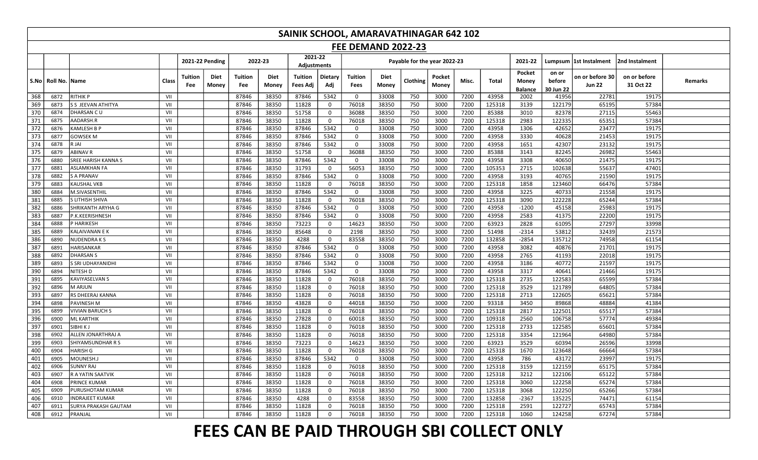|                                                                                                                            | SAINIK SCHOOL, AMARAVATHINAGAR 642 102<br><b>FEE DEMAND 2022-23</b> |                           |       |                                        |                              |                      |                               |                |                        |                      |                              |                 |       |        |                                   |                              |                                  |                           |         |
|----------------------------------------------------------------------------------------------------------------------------|---------------------------------------------------------------------|---------------------------|-------|----------------------------------------|------------------------------|----------------------|-------------------------------|----------------|------------------------|----------------------|------------------------------|-----------------|-------|--------|-----------------------------------|------------------------------|----------------------------------|---------------------------|---------|
|                                                                                                                            |                                                                     |                           |       |                                        |                              |                      |                               |                |                        |                      |                              |                 |       |        |                                   |                              |                                  |                           |         |
|                                                                                                                            |                                                                     |                           |       | 2021-22 Pending                        |                              | 2022-23              | 2021-22<br><b>Adjustments</b> |                |                        |                      | Payable for the year 2022-23 |                 |       |        | 2021-22                           |                              | Lumpsum 1st Instalment           | 2nd Instalment            |         |
| S.No                                                                                                                       | Roll No.   Name                                                     |                           | Class | Tuition<br><b>Diet</b><br>Money<br>Fee | <b>Tuition</b><br><b>Fee</b> | <b>Diet</b><br>Money | <b>Tuition</b><br>Fees Adi    | Dietary<br>Adj | Tuition<br><b>Fees</b> | <b>Diet</b><br>Money | Clothing                     | Pocket<br>Money | Misc. | Total  | Pocket<br>Money<br><b>Balance</b> | on or<br>before<br>30 Jun 22 | on or before 30<br><b>Jun 22</b> | on or before<br>31 Oct 22 | Remarks |
| 368                                                                                                                        | 6872                                                                | <b>RITHIK P</b>           | VII   |                                        | 87846                        | 38350                | 87846                         | 5342           | $\mathbf 0$            | 33008                | 750                          | 3000            | 7200  | 43958  | 2002                              | 41956                        | 22781                            | 19175                     |         |
| 369                                                                                                                        | 6873                                                                | <b>S S JEEVAN ATHITYA</b> | VII   |                                        | 87846                        | 38350                | 11828                         | $\mathbf 0$    | 76018                  | 38350                | 750                          | 3000            | 7200  | 125318 | 3139                              | 122179                       | 65195                            | 57384                     |         |
| 370                                                                                                                        | 6874                                                                | DHARSAN CU                | VII   |                                        | 87846                        | 38350                | 51758                         | $\mathbf 0$    | 36088                  | 38350                | 750                          | 3000            | 7200  | 85388  | 3010                              | 82378                        | 27115                            | 55463                     |         |
| 371                                                                                                                        | 6875                                                                | AADARSH.R                 | VII   |                                        | 87846                        | 38350                | 11828                         | $\mathbf 0$    | 76018                  | 38350                | 750                          | 3000            | 7200  | 125318 | 2983                              | 122335                       | 65351                            | 57384                     |         |
| 372                                                                                                                        | 6876                                                                | <b>KAMLESH B P</b>        | VII   |                                        | 87846                        | 38350                | 87846                         | 5342           | 0                      | 33008                | 750                          | 3000            | 7200  | 43958  | 1306                              | 42652                        | 23477                            | 19175                     |         |
| 373                                                                                                                        | 6877                                                                | <b>GOWSEK M</b>           | VII   |                                        | 87846                        | 38350                | 87846                         | 5342           | $\mathbf{0}$           | 33008                | 750                          | 3000            | 7200  | 43958  | 3330                              | 40628                        | 21453                            | 19175                     |         |
| 374                                                                                                                        | 6878                                                                | R JAI                     | VII   |                                        | 87846                        | 38350                | 87846                         | 5342           | $\mathbf 0$            | 33008                | 750                          | 3000            | 7200  | 43958  | 1651                              | 42307                        | 23132                            | 19175                     |         |
| 375                                                                                                                        | 6879                                                                | <b>ABINAV R</b>           | VII   |                                        | 87846                        | 38350                | 51758                         | $\mathbf 0$    | 36088                  | 38350                | 750                          | 3000            | 7200  | 85388  | 3143                              | 82245                        | 26982                            | 55463                     |         |
| 376<br>7200<br>43958<br>6880<br>SREE HARISH KANNA S<br>VII<br>87846<br>38350<br>87846<br>5342<br>33008<br>750<br>3000<br>0 |                                                                     |                           |       |                                        |                              |                      |                               |                |                        |                      |                              |                 |       | 3308   | 40650                             | 21475                        | 19175                            |                           |         |
| 377                                                                                                                        | 6881                                                                | <b>ASLAMKHAN FA</b>       | VII   |                                        | 87846                        | 38350                | 31793                         | $\mathbf 0$    | 56053                  | 38350                | 750                          | 3000            | 7200  | 105353 | 2715                              | 102638                       | 55637                            | 47401                     |         |
| 378                                                                                                                        | 6882                                                                | <b>S A PRANAV</b>         | VII   |                                        | 87846                        | 38350                | 87846                         | 5342           | $\mathbf 0$            | 33008                | 750                          | 3000            | 7200  | 43958  | 3193                              | 40765                        | 21590                            | 19175                     |         |
| 379                                                                                                                        | 6883                                                                | <b>KAUSHAL VKB</b>        | VII   |                                        | 87846                        | 38350                | 11828                         | $\mathbf 0$    | 76018                  | 38350                | 750                          | 3000            | 7200  | 125318 | 1858                              | 123460                       | 66476                            | 57384                     |         |
| 380                                                                                                                        | 6884                                                                | M.SIVASENTHIL             | VII   |                                        | 87846                        | 38350                | 87846                         | 5342           | $\Omega$               | 33008                | 750                          | 3000            | 7200  | 43958  | 3225                              | 40733                        | 21558                            | 19175                     |         |
| 381                                                                                                                        | 6885                                                                | S LITHISH SHIVA           | VII   |                                        | 87846                        | 38350                | 11828                         | $\mathbf 0$    | 76018                  | 38350                | 750                          | 3000            | 7200  | 125318 | 3090                              | 122228                       | 65244                            | 57384                     |         |
| 382                                                                                                                        | 6886                                                                | SHRIKANTH ARYHA G         | VII   |                                        | 87846                        | 38350                | 87846                         | 5342           | $\Omega$               | 33008                | 750                          | 3000            | 7200  | 43958  | $-1200$                           | 45158                        | 25983                            | 19175                     |         |
| 383                                                                                                                        | 6887                                                                | P.K.KEERISHNESH           | VII   |                                        | 87846                        | 38350                | 87846                         | 5342           | 0                      | 33008                | 750                          | 3000            | 7200  | 43958  | 2583                              | 41375                        | 22200                            | 19175                     |         |
| 384                                                                                                                        | 6888                                                                | P HARIKESH                | VII   |                                        | 87846                        | 38350                | 73223                         | $\mathbf 0$    | 14623                  | 38350                | 750                          | 3000            | 7200  | 63923  | 2828                              | 61095                        | 27297                            | 33998                     |         |
| 385                                                                                                                        | 6889                                                                | <b>KALAIVANAN E K</b>     | VII   |                                        | 87846                        | 38350                | 85648                         | $\mathbf 0$    | 2198                   | 38350                | 750                          | 3000            | 7200  | 51498  | $-2314$                           | 53812                        | 32439                            | 21573                     |         |
| 386                                                                                                                        | 6890                                                                | <b>NUDENDRAKS</b>         | VII   |                                        | 87846                        | 38350                | 4288                          | $\mathbf 0$    | 83558                  | 38350                | 750                          | 3000            | 7200  | 132858 | $-2854$                           | 135712                       | 74958                            | 61154                     |         |
| 387                                                                                                                        | 6891                                                                | <b>HARISANKAR</b>         | VII   |                                        | 87846                        | 38350                | 87846                         | 5342           | 0                      | 33008                | 750                          | 3000            | 7200  | 43958  | 3082                              | 40876                        | 21701                            | 19175                     |         |
| 388                                                                                                                        | 6892                                                                | <b>DHARSAN S</b>          | VII   |                                        | 87846                        | 38350                | 87846                         | 5342           | $\mathbf 0$            | 33008                | 750                          | 3000            | 7200  | 43958  | 2765                              | 41193                        | 22018                            | 19175                     |         |
| 389                                                                                                                        | 6893                                                                | S SRI UDHAYANIDHI         | VII   |                                        | 87846                        | 38350                | 87846                         | 5342           | $\mathbf 0$            | 33008                | 750                          | 3000            | 7200  | 43958  | 3186                              | 40772                        | 21597                            | 19175                     |         |
| 390                                                                                                                        | 6894                                                                | NITESH D                  | VII   |                                        | 87846                        | 38350                | 87846                         | 5342           | $\mathbf 0$            | 33008                | 750                          | 3000            | 7200  | 43958  | 3317                              | 40641                        | 21466                            | 19175                     |         |
| 391                                                                                                                        | 6895                                                                | KAVIYASELVAN S            | VII   |                                        | 87846                        | 38350                | 11828                         | $\mathbf 0$    | 76018                  | 38350                | 750                          | 3000            | 7200  | 125318 | 2735                              | 122583                       | 65599                            | 57384                     |         |
| 392                                                                                                                        | 6896                                                                | M ARJUN                   | VII   |                                        | 87846                        | 38350                | 11828                         | $\mathbf 0$    | 76018                  | 38350                | 750                          | 3000            | 7200  | 125318 | 3529                              | 121789                       | 64805                            | 57384                     |         |
| 393                                                                                                                        | 6897                                                                | RS DHEERAJ KANNA          | VII   |                                        | 87846                        | 38350                | 11828                         | $\mathbf 0$    | 76018                  | 38350                | 750                          | 3000            | 7200  | 125318 | 2713                              | 122605                       | 65621                            | 57384                     |         |
| 394                                                                                                                        | 6898                                                                | <b>PAVINESH M</b>         | VII   |                                        | 87846                        | 38350                | 43828                         | $\mathbf 0$    | 44018                  | 38350                | 750                          | 3000            | 7200  | 93318  | 3450                              | 89868                        | 48884                            | 41384                     |         |
| 395                                                                                                                        | 6899                                                                | <b>VIVIAN BARUCH S</b>    | VII   |                                        | 87846                        | 38350                | 11828                         | $\mathbf 0$    | 76018                  | 38350                | 750                          | 3000            | 7200  | 125318 | 2817                              | 122501                       | 65517                            | 57384                     |         |
| 396                                                                                                                        | 6900                                                                | <b>ML KARTHIK</b>         | VII   |                                        | 87846                        | 38350                | 27828                         | $\mathbf 0$    | 60018                  | 38350                | 750                          | 3000            | 7200  | 109318 | 2560                              | 106758                       | 57774                            | 4938                      |         |
| 397                                                                                                                        | 6901                                                                | SIBHIKJ                   | VII   |                                        | 87846                        | 38350                | 11828                         | $\mathbf 0$    | 76018                  | 38350                | 750                          | 3000            | 7200  | 125318 | 2733                              | 122585                       | 65601                            | 57384                     |         |
| 398                                                                                                                        | 6902                                                                | ALLEN JONARTHRAJ A        | VII   |                                        | 87846                        | 38350                | 11828                         | $\mathbf 0$    | 76018                  | 38350                | 750                          | 3000            | 7200  | 125318 | 3354                              | 121964                       | 64980                            | 57384                     |         |
| 399                                                                                                                        | 6903                                                                | SHIYAMSUNDHAR R S         | VII   |                                        | 87846                        | 38350                | 73223                         | $\mathbf 0$    | 14623                  | 38350                | 750                          | 3000            | 7200  | 63923  | 3529                              | 60394                        | 26596                            | 33998                     |         |
| 400                                                                                                                        | 6904                                                                | <b>HARISH G</b>           | VII   |                                        | 87846                        | 38350                | 11828                         | $\mathbf 0$    | 76018                  | 38350                | 750                          | 3000            | 7200  | 125318 | 1670                              | 123648                       | 66664                            | 57384                     |         |
| 401                                                                                                                        | 6905                                                                | MOUNESH.J                 | VII   |                                        | 87846                        | 38350                | 87846                         | 5342           | $\Omega$               | 33008                | 750                          | 3000            | 7200  | 43958  | 786                               | 43172                        | 23997                            | 19175                     |         |
| 402                                                                                                                        | 6906                                                                | <b>SUNNY RAJ</b>          | VII   |                                        | 87846                        | 38350                | 11828                         | $\mathbf 0$    | 76018                  | 38350                | 750                          | 3000            | 7200  | 125318 | 3159                              | 122159                       | 65175                            | 57384                     |         |
| 403                                                                                                                        | 6907                                                                | R A YATIN SAATVIK         | VII   |                                        | 87846                        | 38350                | 11828                         | $\mathsf{o}$   | 76018                  | 38350                | 750                          | 3000            | 7200  | 125318 | 3212                              | 122106                       | 65122                            | 57384                     |         |
| 404                                                                                                                        | 6908                                                                | PRINCE KUMAR              | VII   |                                        | 87846                        | 38350                | 11828                         | $\mathbf 0$    | 76018                  | 38350                | 750                          | 3000            | 7200  | 125318 | 3060                              | 122258                       | 65274                            | 57384                     |         |
| 405                                                                                                                        | 6909                                                                | PURUSHOTAM KUMAR          | VII   |                                        | 87846                        | 38350                | 11828                         | $\mathbf 0$    | 76018                  | 38350                | 750                          | 3000            | 7200  | 125318 | 3068                              | 122250                       | 65266                            | 57384                     |         |
| 406                                                                                                                        | 6910                                                                | <b>INDRAJEET KUMAR</b>    | VII   |                                        | 87846                        | 38350                | 4288                          | $\mathbf 0$    | 83558                  | 38350                | 750                          | 3000            | 7200  | 132858 | $-2367$                           | 135225                       | 74471                            | 61154                     |         |
| 407                                                                                                                        | 6911                                                                | SURYA PRAKASH GAUTAM      | VII   |                                        | 87846                        | 38350                | 11828                         | $\mathsf{o}$   | 76018                  | 38350                | 750                          | 3000            | 7200  | 125318 | 2591                              | 122727                       | 65743                            | 57384                     |         |
| 408                                                                                                                        | 6912                                                                | PRANJAL                   | VII   |                                        | 87846                        | 38350                | 11828                         | $\Omega$       | 76018                  | 38350                | 750                          | 3000            | 7200  | 125318 | 1060                              | 124258                       | 67274                            | 57384                     |         |